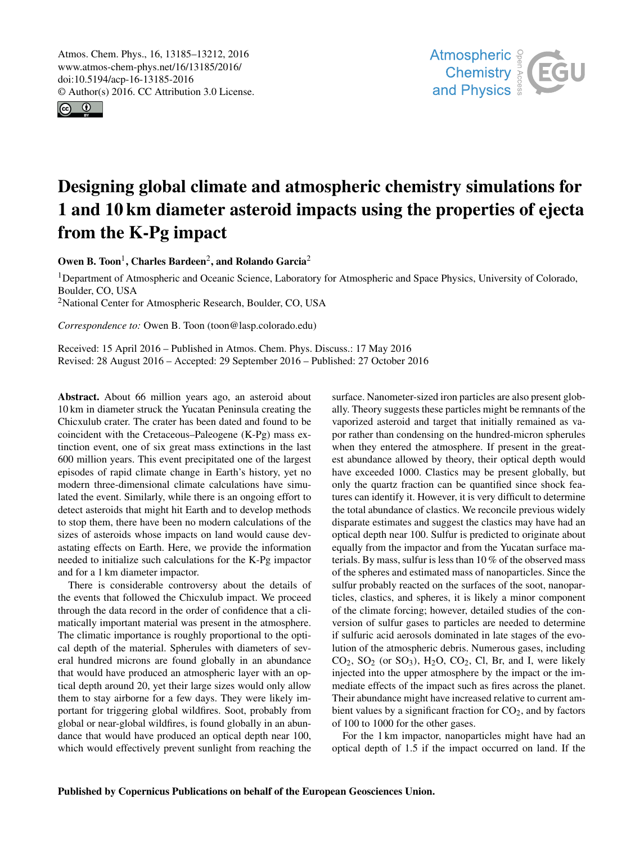Atmos. Chem. Phys., 16, 13185–13212, 2016 www.atmos-chem-phys.net/16/13185/2016/ doi:10.5194/acp-16-13185-2016 © Author(s) 2016. CC Attribution 3.0 License.





# Designing global climate and atmospheric chemistry simulations for 1 and 10 km diameter asteroid impacts using the properties of ejecta from the K-Pg impact

Owen B. Toon<sup>1</sup>, Charles Bardeen<sup>2</sup>, and Rolando Garcia<sup>2</sup>

<sup>1</sup>Department of Atmospheric and Oceanic Science, Laboratory for Atmospheric and Space Physics, University of Colorado, Boulder, CO, USA

<sup>2</sup>National Center for Atmospheric Research, Boulder, CO, USA

*Correspondence to:* Owen B. Toon (toon@lasp.colorado.edu)

Received: 15 April 2016 – Published in Atmos. Chem. Phys. Discuss.: 17 May 2016 Revised: 28 August 2016 – Accepted: 29 September 2016 – Published: 27 October 2016

Abstract. About 66 million years ago, an asteroid about 10 km in diameter struck the Yucatan Peninsula creating the Chicxulub crater. The crater has been dated and found to be coincident with the Cretaceous–Paleogene (K-Pg) mass extinction event, one of six great mass extinctions in the last 600 million years. This event precipitated one of the largest episodes of rapid climate change in Earth's history, yet no modern three-dimensional climate calculations have simulated the event. Similarly, while there is an ongoing effort to detect asteroids that might hit Earth and to develop methods to stop them, there have been no modern calculations of the sizes of asteroids whose impacts on land would cause devastating effects on Earth. Here, we provide the information needed to initialize such calculations for the K-Pg impactor and for a 1 km diameter impactor.

There is considerable controversy about the details of the events that followed the Chicxulub impact. We proceed through the data record in the order of confidence that a climatically important material was present in the atmosphere. The climatic importance is roughly proportional to the optical depth of the material. Spherules with diameters of several hundred microns are found globally in an abundance that would have produced an atmospheric layer with an optical depth around 20, yet their large sizes would only allow them to stay airborne for a few days. They were likely important for triggering global wildfires. Soot, probably from global or near-global wildfires, is found globally in an abundance that would have produced an optical depth near 100, which would effectively prevent sunlight from reaching the

surface. Nanometer-sized iron particles are also present globally. Theory suggests these particles might be remnants of the vaporized asteroid and target that initially remained as vapor rather than condensing on the hundred-micron spherules when they entered the atmosphere. If present in the greatest abundance allowed by theory, their optical depth would have exceeded 1000. Clastics may be present globally, but only the quartz fraction can be quantified since shock features can identify it. However, it is very difficult to determine the total abundance of clastics. We reconcile previous widely disparate estimates and suggest the clastics may have had an optical depth near 100. Sulfur is predicted to originate about equally from the impactor and from the Yucatan surface materials. By mass, sulfur is less than 10 % of the observed mass of the spheres and estimated mass of nanoparticles. Since the sulfur probably reacted on the surfaces of the soot, nanoparticles, clastics, and spheres, it is likely a minor component of the climate forcing; however, detailed studies of the conversion of sulfur gases to particles are needed to determine if sulfuric acid aerosols dominated in late stages of the evolution of the atmospheric debris. Numerous gases, including  $CO<sub>2</sub>$ ,  $SO<sub>2</sub>$  (or  $SO<sub>3</sub>$ ),  $H<sub>2</sub>O$ ,  $CO<sub>2</sub>$ ,  $Cl$ , Br, and I, were likely injected into the upper atmosphere by the impact or the immediate effects of the impact such as fires across the planet. Their abundance might have increased relative to current ambient values by a significant fraction for  $CO<sub>2</sub>$ , and by factors of 100 to 1000 for the other gases.

For the 1 km impactor, nanoparticles might have had an optical depth of 1.5 if the impact occurred on land. If the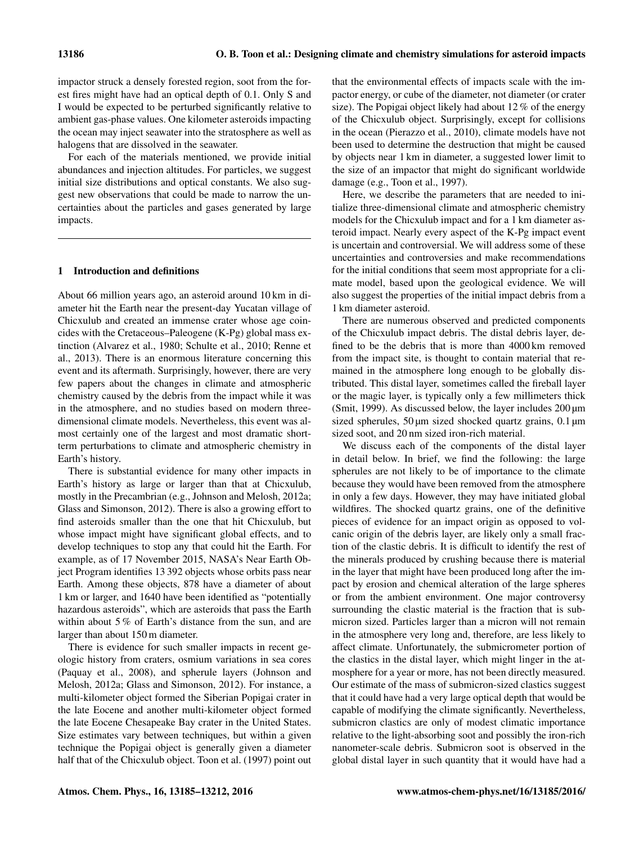impactor struck a densely forested region, soot from the forest fires might have had an optical depth of 0.1. Only S and I would be expected to be perturbed significantly relative to ambient gas-phase values. One kilometer asteroids impacting the ocean may inject seawater into the stratosphere as well as halogens that are dissolved in the seawater.

For each of the materials mentioned, we provide initial abundances and injection altitudes. For particles, we suggest initial size distributions and optical constants. We also suggest new observations that could be made to narrow the uncertainties about the particles and gases generated by large impacts.

## 1 Introduction and definitions

About 66 million years ago, an asteroid around 10 km in diameter hit the Earth near the present-day Yucatan village of Chicxulub and created an immense crater whose age coincides with the Cretaceous–Paleogene (K-Pg) global mass extinction (Alvarez et al., 1980; Schulte et al., 2010; Renne et al., 2013). There is an enormous literature concerning this event and its aftermath. Surprisingly, however, there are very few papers about the changes in climate and atmospheric chemistry caused by the debris from the impact while it was in the atmosphere, and no studies based on modern threedimensional climate models. Nevertheless, this event was almost certainly one of the largest and most dramatic shortterm perturbations to climate and atmospheric chemistry in Earth's history.

There is substantial evidence for many other impacts in Earth's history as large or larger than that at Chicxulub, mostly in the Precambrian (e.g., Johnson and Melosh, 2012a; Glass and Simonson, 2012). There is also a growing effort to find asteroids smaller than the one that hit Chicxulub, but whose impact might have significant global effects, and to develop techniques to stop any that could hit the Earth. For example, as of 17 November 2015, NASA's Near Earth Object Program identifies 13 392 objects whose orbits pass near Earth. Among these objects, 878 have a diameter of about 1 km or larger, and 1640 have been identified as "potentially hazardous asteroids", which are asteroids that pass the Earth within about 5% of Earth's distance from the sun, and are larger than about 150 m diameter.

There is evidence for such smaller impacts in recent geologic history from craters, osmium variations in sea cores (Paquay et al., 2008), and spherule layers (Johnson and Melosh, 2012a; Glass and Simonson, 2012). For instance, a multi-kilometer object formed the Siberian Popigai crater in the late Eocene and another multi-kilometer object formed the late Eocene Chesapeake Bay crater in the United States. Size estimates vary between techniques, but within a given technique the Popigai object is generally given a diameter half that of the Chicxulub object. Toon et al. (1997) point out that the environmental effects of impacts scale with the impactor energy, or cube of the diameter, not diameter (or crater size). The Popigai object likely had about 12 % of the energy of the Chicxulub object. Surprisingly, except for collisions in the ocean (Pierazzo et al., 2010), climate models have not been used to determine the destruction that might be caused by objects near 1 km in diameter, a suggested lower limit to the size of an impactor that might do significant worldwide damage (e.g., Toon et al., 1997).

Here, we describe the parameters that are needed to initialize three-dimensional climate and atmospheric chemistry models for the Chicxulub impact and for a 1 km diameter asteroid impact. Nearly every aspect of the K-Pg impact event is uncertain and controversial. We will address some of these uncertainties and controversies and make recommendations for the initial conditions that seem most appropriate for a climate model, based upon the geological evidence. We will also suggest the properties of the initial impact debris from a 1 km diameter asteroid.

There are numerous observed and predicted components of the Chicxulub impact debris. The distal debris layer, defined to be the debris that is more than 4000 km removed from the impact site, is thought to contain material that remained in the atmosphere long enough to be globally distributed. This distal layer, sometimes called the fireball layer or the magic layer, is typically only a few millimeters thick (Smit, 1999). As discussed below, the layer includes 200 µm sized spherules,  $50 \mu m$  sized shocked quartz grains,  $0.1 \mu m$ sized soot, and 20 nm sized iron-rich material.

We discuss each of the components of the distal layer in detail below. In brief, we find the following: the large spherules are not likely to be of importance to the climate because they would have been removed from the atmosphere in only a few days. However, they may have initiated global wildfires. The shocked quartz grains, one of the definitive pieces of evidence for an impact origin as opposed to volcanic origin of the debris layer, are likely only a small fraction of the clastic debris. It is difficult to identify the rest of the minerals produced by crushing because there is material in the layer that might have been produced long after the impact by erosion and chemical alteration of the large spheres or from the ambient environment. One major controversy surrounding the clastic material is the fraction that is submicron sized. Particles larger than a micron will not remain in the atmosphere very long and, therefore, are less likely to affect climate. Unfortunately, the submicrometer portion of the clastics in the distal layer, which might linger in the atmosphere for a year or more, has not been directly measured. Our estimate of the mass of submicron-sized clastics suggest that it could have had a very large optical depth that would be capable of modifying the climate significantly. Nevertheless, submicron clastics are only of modest climatic importance relative to the light-absorbing soot and possibly the iron-rich nanometer-scale debris. Submicron soot is observed in the global distal layer in such quantity that it would have had a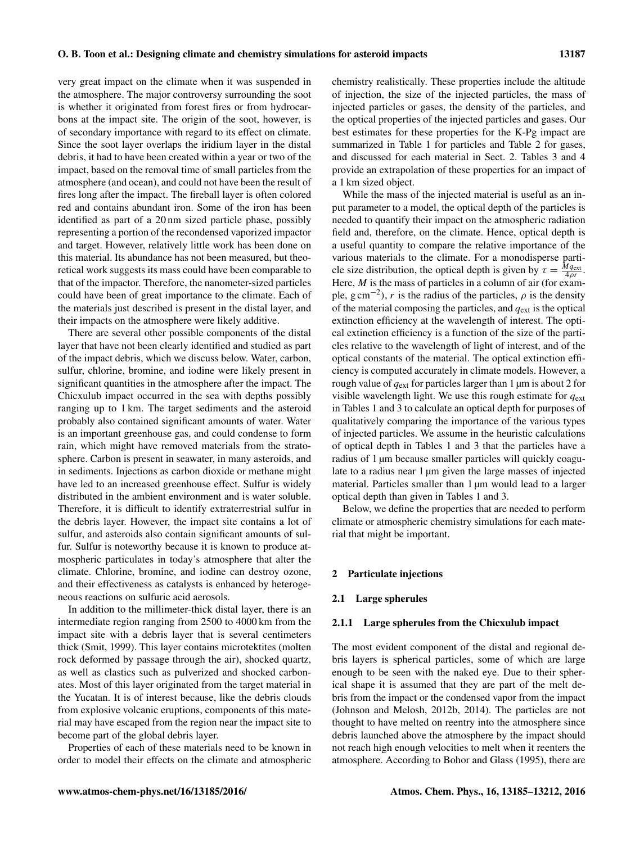very great impact on the climate when it was suspended in the atmosphere. The major controversy surrounding the soot is whether it originated from forest fires or from hydrocarbons at the impact site. The origin of the soot, however, is of secondary importance with regard to its effect on climate. Since the soot layer overlaps the iridium layer in the distal debris, it had to have been created within a year or two of the impact, based on the removal time of small particles from the atmosphere (and ocean), and could not have been the result of fires long after the impact. The fireball layer is often colored red and contains abundant iron. Some of the iron has been identified as part of a 20 nm sized particle phase, possibly representing a portion of the recondensed vaporized impactor and target. However, relatively little work has been done on this material. Its abundance has not been measured, but theoretical work suggests its mass could have been comparable to that of the impactor. Therefore, the nanometer-sized particles could have been of great importance to the climate. Each of the materials just described is present in the distal layer, and their impacts on the atmosphere were likely additive.

There are several other possible components of the distal layer that have not been clearly identified and studied as part of the impact debris, which we discuss below. Water, carbon, sulfur, chlorine, bromine, and iodine were likely present in significant quantities in the atmosphere after the impact. The Chicxulub impact occurred in the sea with depths possibly ranging up to 1 km. The target sediments and the asteroid probably also contained significant amounts of water. Water is an important greenhouse gas, and could condense to form rain, which might have removed materials from the stratosphere. Carbon is present in seawater, in many asteroids, and in sediments. Injections as carbon dioxide or methane might have led to an increased greenhouse effect. Sulfur is widely distributed in the ambient environment and is water soluble. Therefore, it is difficult to identify extraterrestrial sulfur in the debris layer. However, the impact site contains a lot of sulfur, and asteroids also contain significant amounts of sulfur. Sulfur is noteworthy because it is known to produce atmospheric particulates in today's atmosphere that alter the climate. Chlorine, bromine, and iodine can destroy ozone, and their effectiveness as catalysts is enhanced by heterogeneous reactions on sulfuric acid aerosols.

In addition to the millimeter-thick distal layer, there is an intermediate region ranging from 2500 to 4000 km from the impact site with a debris layer that is several centimeters thick (Smit, 1999). This layer contains microtektites (molten rock deformed by passage through the air), shocked quartz, as well as clastics such as pulverized and shocked carbonates. Most of this layer originated from the target material in the Yucatan. It is of interest because, like the debris clouds from explosive volcanic eruptions, components of this material may have escaped from the region near the impact site to become part of the global debris layer.

Properties of each of these materials need to be known in order to model their effects on the climate and atmospheric chemistry realistically. These properties include the altitude of injection, the size of the injected particles, the mass of injected particles or gases, the density of the particles, and the optical properties of the injected particles and gases. Our best estimates for these properties for the K-Pg impact are summarized in Table 1 for particles and Table 2 for gases, and discussed for each material in Sect. 2. Tables 3 and 4 provide an extrapolation of these properties for an impact of a 1 km sized object.

While the mass of the injected material is useful as an input parameter to a model, the optical depth of the particles is needed to quantify their impact on the atmospheric radiation field and, therefore, on the climate. Hence, optical depth is a useful quantity to compare the relative importance of the various materials to the climate. For a monodisperse particle size distribution, the optical depth is given by  $\tau = \frac{Mq_{\text{ext}}}{4\rho r}$ . Here,  $M$  is the mass of particles in a column of air (for example,  $g \text{ cm}^{-2}$ ), r is the radius of the particles,  $\rho$  is the density of the material composing the particles, and  $q_{ext}$  is the optical extinction efficiency at the wavelength of interest. The optical extinction efficiency is a function of the size of the particles relative to the wavelength of light of interest, and of the optical constants of the material. The optical extinction efficiency is computed accurately in climate models. However, a rough value of  $q_{ext}$  for particles larger than 1  $\mu$ m is about 2 for visible wavelength light. We use this rough estimate for  $q_{\text{ext}}$ in Tables 1 and 3 to calculate an optical depth for purposes of qualitatively comparing the importance of the various types of injected particles. We assume in the heuristic calculations of optical depth in Tables 1 and 3 that the particles have a radius of 1 µm because smaller particles will quickly coagulate to a radius near 1  $\mu$ m given the large masses of injected material. Particles smaller than 1  $\mu$ m would lead to a larger optical depth than given in Tables 1 and 3.

Below, we define the properties that are needed to perform climate or atmospheric chemistry simulations for each material that might be important.

#### 2 Particulate injections

#### 2.1 Large spherules

## 2.1.1 Large spherules from the Chicxulub impact

The most evident component of the distal and regional debris layers is spherical particles, some of which are large enough to be seen with the naked eye. Due to their spherical shape it is assumed that they are part of the melt debris from the impact or the condensed vapor from the impact (Johnson and Melosh, 2012b, 2014). The particles are not thought to have melted on reentry into the atmosphere since debris launched above the atmosphere by the impact should not reach high enough velocities to melt when it reenters the atmosphere. According to Bohor and Glass (1995), there are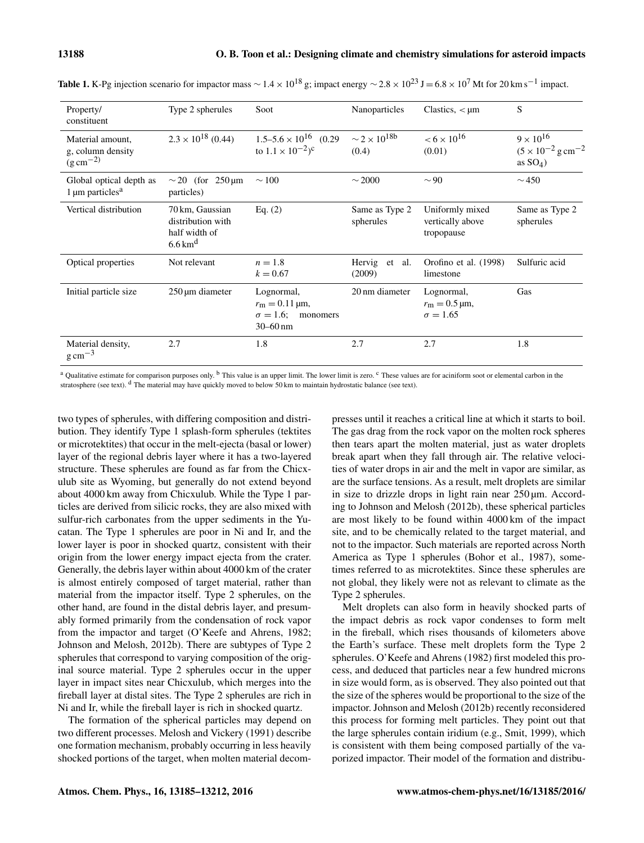| Property/<br>constituent                                         | Type 2 spherules                                                             | Soot                                                                                          | Nanoparticles                                | Clastics, $\lt$ $\mu$ m                                         | S                                                                           |
|------------------------------------------------------------------|------------------------------------------------------------------------------|-----------------------------------------------------------------------------------------------|----------------------------------------------|-----------------------------------------------------------------|-----------------------------------------------------------------------------|
| Material amount,<br>g, column density<br>$(g \, \text{cm}^{-2})$ | $2.3 \times 10^{18}$ (0.44)                                                  | $1.5 - 5.6 \times 10^{16}$ (0.29)<br>to $1.1 \times 10^{-2}$ <sup>c</sup>                     | $\sim$ 2 $\times$ 10 <sup>18b</sup><br>(0.4) | $< 6 \times 10^{16}$<br>(0.01)                                  | $9 \times 10^{16}$<br>$(5 \times 10^{-2} \text{ g cm}^{-2})$<br>as $SO_4$ ) |
| Global optical depth as<br>$1 \mu m$ particles <sup>a</sup>      | $\sim$ 20 (for 250 $\mu$ m)<br>particles)                                    | $\sim$ 100                                                                                    | $\sim$ 2000                                  | $\sim$ 90                                                       | $\sim$ 450                                                                  |
| Vertical distribution                                            | 70 km, Gaussian<br>distribution with<br>half width of<br>$6.6 \mathrm{km}^d$ | Eq. $(2)$                                                                                     | Same as Type 2<br>spherules                  | Uniformly mixed<br>vertically above<br>tropopause               | Same as Type 2<br>spherules                                                 |
| Optical properties                                               | Not relevant                                                                 | $n=1.8$<br>$k = 0.67$                                                                         | Hervig et al.<br>(2009)                      | Orofino et al. (1998)<br>limestone                              | Sulfuric acid                                                               |
| Initial particle size                                            | $250 \,\mathrm{\upmu m}$ diameter                                            | Lognormal,<br>$r_{\rm m} = 0.11 \,\rm \mu m,$<br>$\sigma = 1.6$ ;<br>monomers<br>$30 - 60$ nm | 20 nm diameter                               | Lognormal,<br>$r_{\rm m} = 0.5 \,\rm \mu m,$<br>$\sigma = 1.65$ | Gas                                                                         |
| Material density,<br>$g \text{ cm}^{-3}$                         | 2.7                                                                          | 1.8                                                                                           | 2.7                                          | 2.7                                                             | 1.8                                                                         |

Table 1. K-Pg injection scenario for impactor mass  $\sim 1.4 \times 10^{18}$  g; impact energy  $\sim 2.8 \times 10^{23}$  J = 6.8  $\times 10^7$  Mt for 20 km s<sup>-1</sup> impact.

<sup>a</sup> Qualitative estimate for comparison purposes only. <sup>b</sup> This value is an upper limit. The lower limit is zero. <sup>c</sup> These values are for aciniform soot or elemental carbon in the stratosphere (see text).  $d$  The material may have quickly moved to below 50 km to maintain hydrostatic balance (see text).

two types of spherules, with differing composition and distribution. They identify Type 1 splash-form spherules (tektites or microtektites) that occur in the melt-ejecta (basal or lower) layer of the regional debris layer where it has a two-layered structure. These spherules are found as far from the Chicxulub site as Wyoming, but generally do not extend beyond about 4000 km away from Chicxulub. While the Type 1 particles are derived from silicic rocks, they are also mixed with sulfur-rich carbonates from the upper sediments in the Yucatan. The Type 1 spherules are poor in Ni and Ir, and the lower layer is poor in shocked quartz, consistent with their origin from the lower energy impact ejecta from the crater. Generally, the debris layer within about 4000 km of the crater is almost entirely composed of target material, rather than material from the impactor itself. Type 2 spherules, on the other hand, are found in the distal debris layer, and presumably formed primarily from the condensation of rock vapor from the impactor and target (O'Keefe and Ahrens, 1982; Johnson and Melosh, 2012b). There are subtypes of Type 2 spherules that correspond to varying composition of the original source material. Type 2 spherules occur in the upper layer in impact sites near Chicxulub, which merges into the fireball layer at distal sites. The Type 2 spherules are rich in Ni and Ir, while the fireball layer is rich in shocked quartz.

The formation of the spherical particles may depend on two different processes. Melosh and Vickery (1991) describe one formation mechanism, probably occurring in less heavily shocked portions of the target, when molten material decompresses until it reaches a critical line at which it starts to boil. The gas drag from the rock vapor on the molten rock spheres then tears apart the molten material, just as water droplets break apart when they fall through air. The relative velocities of water drops in air and the melt in vapor are similar, as are the surface tensions. As a result, melt droplets are similar in size to drizzle drops in light rain near  $250 \,\mu m$ . According to Johnson and Melosh (2012b), these spherical particles are most likely to be found within 4000 km of the impact site, and to be chemically related to the target material, and not to the impactor. Such materials are reported across North America as Type 1 spherules (Bohor et al., 1987), sometimes referred to as microtektites. Since these spherules are not global, they likely were not as relevant to climate as the Type 2 spherules.

Melt droplets can also form in heavily shocked parts of the impact debris as rock vapor condenses to form melt in the fireball, which rises thousands of kilometers above the Earth's surface. These melt droplets form the Type 2 spherules. O'Keefe and Ahrens (1982) first modeled this process, and deduced that particles near a few hundred microns in size would form, as is observed. They also pointed out that the size of the spheres would be proportional to the size of the impactor. Johnson and Melosh (2012b) recently reconsidered this process for forming melt particles. They point out that the large spherules contain iridium (e.g., Smit, 1999), which is consistent with them being composed partially of the vaporized impactor. Their model of the formation and distribu-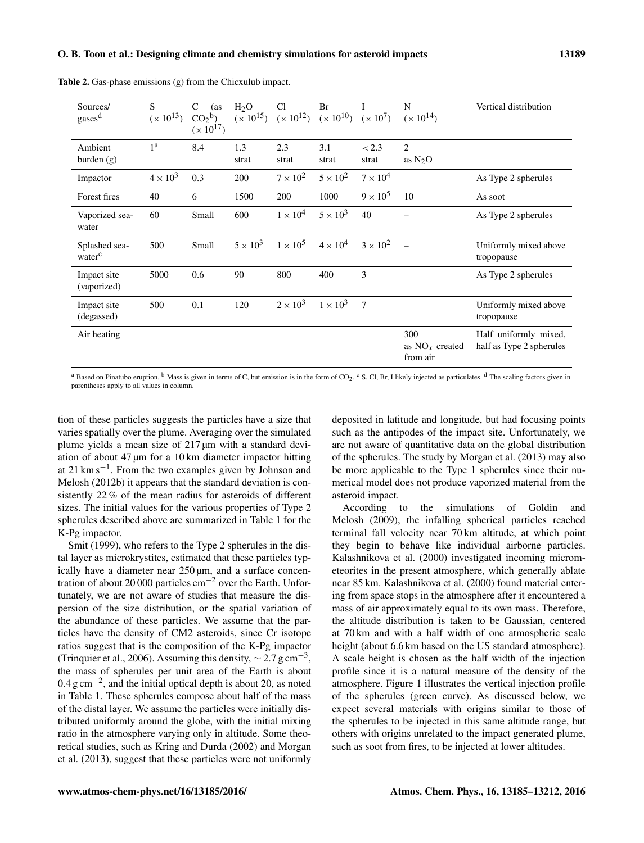| Sources/<br>gases <sup>d</sup>      | <sub>S</sub><br>$(x 10^{13})$ | C<br>(as<br>CO <sub>2</sub> <sup>b</sup><br>$(x 10^{17})$ | $H_2O$<br>$(x 10^{15})$ | Cl<br>$(x 10^{12})$ | Br<br>$(x 10^{10}) (x 10^7)$ |                 | N<br>$(x 10^{14})$                  | Vertical distribution                             |
|-------------------------------------|-------------------------------|-----------------------------------------------------------|-------------------------|---------------------|------------------------------|-----------------|-------------------------------------|---------------------------------------------------|
| Ambient<br>burden $(g)$             | 1 <sup>a</sup>                | 8.4                                                       | 1.3<br>strat            | 2.3<br>strat        | 3.1<br>strat                 | < 2.3<br>strat  | $\overline{c}$<br>as $N_2O$         |                                                   |
| Impactor                            | $4 \times 10^3$               | 0.3                                                       | 200                     | $7 \times 10^2$     | $5 \times 10^2$              | $7 \times 10^4$ |                                     | As Type 2 spherules                               |
| Forest fires                        | 40                            | 6                                                         | 1500                    | 200                 | 1000                         | $9 \times 10^5$ | 10                                  | As soot                                           |
| Vaporized sea-<br>water             | 60                            | Small                                                     | 600                     | $1 \times 10^4$     | $5 \times 10^3$              | 40              |                                     | As Type 2 spherules                               |
| Splashed sea-<br>water <sup>c</sup> | 500                           | Small                                                     | $5 \times 10^3$         | $1 \times 10^5$     | $4 \times 10^4$              | $3 \times 10^2$ | $\equiv$                            | Uniformly mixed above<br>tropopause               |
| Impact site<br>(vaporized)          | 5000                          | 0.6                                                       | 90                      | 800                 | 400                          | 3               |                                     | As Type 2 spherules                               |
| Impact site<br>(degassed)           | 500                           | 0.1                                                       | 120                     | $2 \times 10^3$     | $1 \times 10^3$              | $\overline{7}$  |                                     | Uniformly mixed above<br>tropopause               |
| Air heating                         |                               |                                                           |                         |                     |                              |                 | 300<br>as $NOx$ created<br>from air | Half uniformly mixed,<br>half as Type 2 spherules |

Table 2. Gas-phase emissions (g) from the Chicxulub impact.

<sup>a</sup> Based on Pinatubo eruption. <sup>b</sup> Mass is given in terms of C, but emission is in the form of CO<sub>2</sub>. <sup>c</sup> S, Cl, Br, I likely injected as particulates. <sup>d</sup> The scaling factors given in parentheses apply to all values in column.

tion of these particles suggests the particles have a size that varies spatially over the plume. Averaging over the simulated plume yields a mean size of 217 µm with a standard deviation of about 47 µm for a 10 km diameter impactor hitting at 21 km s−<sup>1</sup> . From the two examples given by Johnson and Melosh (2012b) it appears that the standard deviation is consistently 22 % of the mean radius for asteroids of different sizes. The initial values for the various properties of Type 2 spherules described above are summarized in Table 1 for the K-Pg impactor.

Smit (1999), who refers to the Type 2 spherules in the distal layer as microkrystites, estimated that these particles typically have a diameter near  $250 \,\mu m$ , and a surface concentration of about 20 000 particles cm<sup>-2</sup> over the Earth. Unfortunately, we are not aware of studies that measure the dispersion of the size distribution, or the spatial variation of the abundance of these particles. We assume that the particles have the density of CM2 asteroids, since Cr isotope ratios suggest that is the composition of the K-Pg impactor (Trinquier et al., 2006). Assuming this density,  $\sim$  2.7 g cm<sup>-3</sup>, the mass of spherules per unit area of the Earth is about 0.4 g cm−<sup>2</sup> , and the initial optical depth is about 20, as noted in Table 1. These spherules compose about half of the mass of the distal layer. We assume the particles were initially distributed uniformly around the globe, with the initial mixing ratio in the atmosphere varying only in altitude. Some theoretical studies, such as Kring and Durda (2002) and Morgan et al. (2013), suggest that these particles were not uniformly

deposited in latitude and longitude, but had focusing points such as the antipodes of the impact site. Unfortunately, we are not aware of quantitative data on the global distribution of the spherules. The study by Morgan et al. (2013) may also be more applicable to the Type 1 spherules since their numerical model does not produce vaporized material from the asteroid impact.

According to the simulations of Goldin and Melosh (2009), the infalling spherical particles reached terminal fall velocity near 70 km altitude, at which point they begin to behave like individual airborne particles. Kalashnikova et al. (2000) investigated incoming micrometeorites in the present atmosphere, which generally ablate near 85 km. Kalashnikova et al. (2000) found material entering from space stops in the atmosphere after it encountered a mass of air approximately equal to its own mass. Therefore, the altitude distribution is taken to be Gaussian, centered at 70 km and with a half width of one atmospheric scale height (about 6.6 km based on the US standard atmosphere). A scale height is chosen as the half width of the injection profile since it is a natural measure of the density of the atmosphere. Figure 1 illustrates the vertical injection profile of the spherules (green curve). As discussed below, we expect several materials with origins similar to those of the spherules to be injected in this same altitude range, but others with origins unrelated to the impact generated plume, such as soot from fires, to be injected at lower altitudes.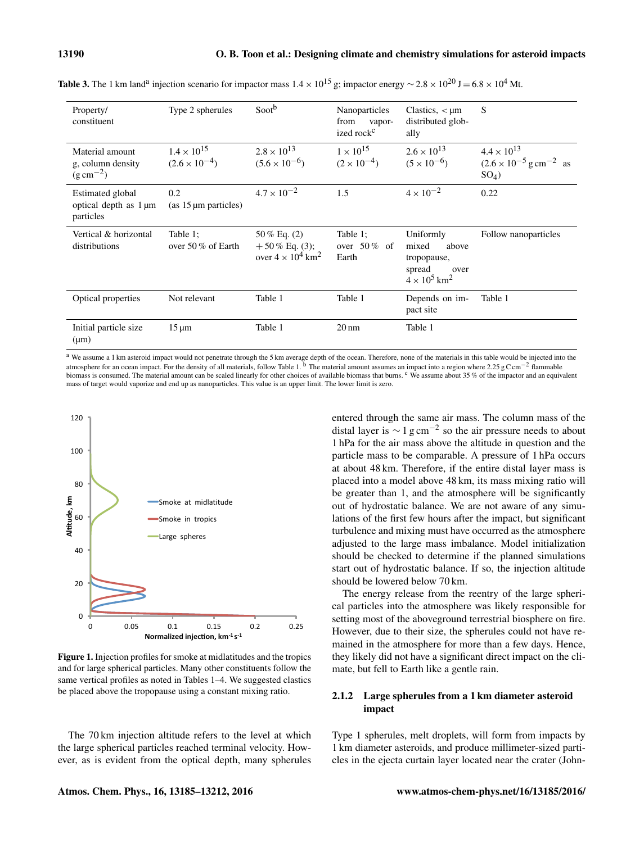| Property/<br>constituent                                      | Type 2 spherules                               | Sooth                                                                      | Nanoparticles<br>from<br>vapor-<br>ized rock <sup>c</sup> | Clastics, $\lt$ $\mu$ m<br>distributed glob-<br>ally                                            | S                                                                                      |
|---------------------------------------------------------------|------------------------------------------------|----------------------------------------------------------------------------|-----------------------------------------------------------|-------------------------------------------------------------------------------------------------|----------------------------------------------------------------------------------------|
| Material amount<br>g, column density<br>$(g \text{ cm}^{-2})$ | $1.4 \times 10^{15}$<br>$(2.6 \times 10^{-4})$ | $2.8 \times 10^{13}$<br>$(5.6 \times 10^{-6})$                             | $1 \times 10^{15}$<br>$(2 \times 10^{-4})$                | $2.6 \times 10^{13}$<br>$(5 \times 10^{-6})$                                                    | $4.4 \times 10^{13}$<br>$(2.6 \times 10^{-5} \text{ g cm}^{-2} \text{ as}$<br>$SO_4$ ) |
| Estimated global<br>optical depth as 1 µm<br>particles        | 0.2<br>$(as 15 \mu m particles)$               | $4.7 \times 10^{-2}$                                                       | 1.5                                                       | $4 \times 10^{-2}$                                                                              | 0.22                                                                                   |
| Vertical & horizontal<br>distributions                        | Table 1:<br>over 50 $%$ of Earth               | $50\%$ Eq. (2)<br>$+50\%$ Eq. (3);<br>over $4 \times 10^4$ km <sup>2</sup> | Table 1:<br>over $50\%$ of<br>Earth                       | Uniformly<br>mixed<br>above<br>tropopause,<br>spread<br>over<br>$4 \times 10^5$ km <sup>2</sup> | Follow nanoparticles                                                                   |
| Optical properties                                            | Not relevant                                   | Table 1                                                                    | Table 1                                                   | Depends on im-<br>pact site                                                                     | Table 1                                                                                |
| Initial particle size<br>$(\mu m)$                            | $15 \mu m$                                     | Table 1                                                                    | $20 \text{ nm}$                                           | Table 1                                                                                         |                                                                                        |

**Table 3.** The 1 km land<sup>a</sup> injection scenario for impactor mass  $1.4 \times 10^{15}$  g; impactor energy  $\sim 2.8 \times 10^{20}$  J = 6.8  $\times 10^4$  Mt.

<sup>a</sup> We assume a 1 km asteroid impact would not penetrate through the 5 km average depth of the ocean. Therefore, none of the materials in this table would be injected into the atmosphere for an ocean impact. For the density of all materials, follow Table 1. <sup>b</sup> The material amount assumes an impact into a region where 2.25 g C cm<sup>-2</sup> flammable biomass is consumed. The material amount can be scaled linearly for other choices of available biomass that burns. <sup>c</sup> We assume about 35 % of the impactor and an equivalent mass of target would vaporize and end up as nanoparticles. This value is an upper limit. The lower limit is zero.



Figure 1. Injection profiles for smoke at midlatitudes and the tropics and for large spherical particles. Many other constituents follow the same vertical profiles as noted in Tables 1–4. We suggested clastics be placed above the tropopause using a constant mixing ratio.

The 70 km injection altitude refers to the level at which the large spherical particles reached terminal velocity. However, as is evident from the optical depth, many spherules entered through the same air mass. The column mass of the distal layer is  $\sim 1$  g cm<sup>-2</sup> so the air pressure needs to about 1 hPa for the air mass above the altitude in question and the particle mass to be comparable. A pressure of 1 hPa occurs at about 48 km. Therefore, if the entire distal layer mass is placed into a model above 48 km, its mass mixing ratio will be greater than 1, and the atmosphere will be significantly out of hydrostatic balance. We are not aware of any simulations of the first few hours after the impact, but significant turbulence and mixing must have occurred as the atmosphere adjusted to the large mass imbalance. Model initialization should be checked to determine if the planned simulations start out of hydrostatic balance. If so, the injection altitude should be lowered below 70 km.

The energy release from the reentry of the large spherical particles into the atmosphere was likely responsible for setting most of the aboveground terrestrial biosphere on fire. However, due to their size, the spherules could not have remained in the atmosphere for more than a few days. Hence, they likely did not have a significant direct impact on the climate, but fell to Earth like a gentle rain.

## 2.1.2 Large spherules from a 1 km diameter asteroid impact

Type 1 spherules, melt droplets, will form from impacts by 1 km diameter asteroids, and produce millimeter-sized particles in the ejecta curtain layer located near the crater (John-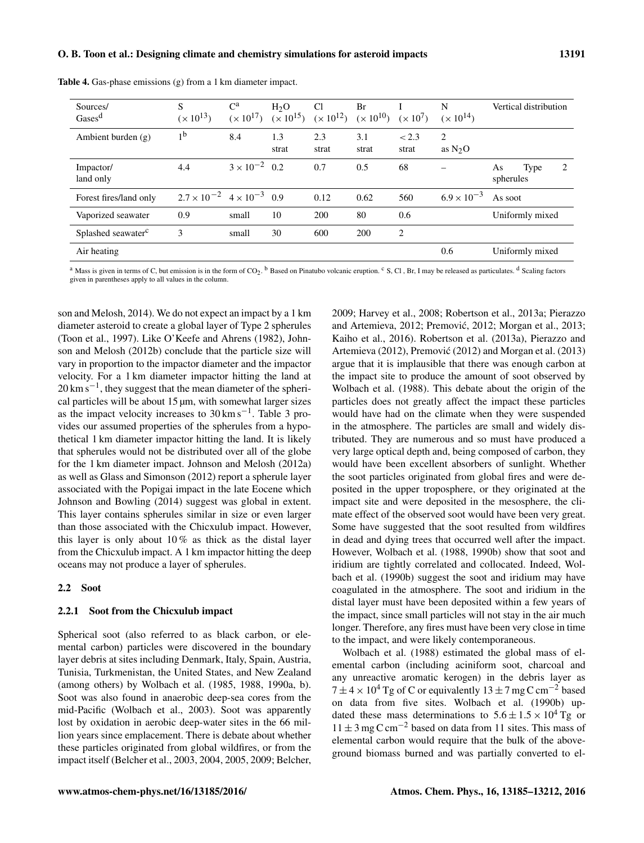| Sources/<br>Gases <sup>d</sup> | S<br>$(x 10^{13})$                          | $\mathbf{C}^{\mathbf{a}}$<br>$(x 10^{17})$ | H <sub>2</sub> O<br>$(x 10^{15})$ | <sup>C</sup> l<br>$(x 10^{12})$ | Br<br>$(x 10^{10})$ | $(x 10^7)$     | N<br>$(x 10^{14})$       | Vertical distribution        |
|--------------------------------|---------------------------------------------|--------------------------------------------|-----------------------------------|---------------------------------|---------------------|----------------|--------------------------|------------------------------|
| Ambient burden $(g)$           | 1 <sup>b</sup>                              | 8.4                                        | 1.3<br>strat                      | 2.3<br>strat                    | 3.1<br>strat        | < 2.3<br>strat | 2<br>as $N_2O$           |                              |
| Impactor/<br>land only         | 4.4                                         | $3 \times 10^{-2}$ 0.2                     |                                   | 0.7                             | 0.5                 | 68             | $\overline{\phantom{0}}$ | 2<br>Type<br>As<br>spherules |
| Forest fires/land only         | $2.7 \times 10^{-2}$ 4 $\times 10^{-3}$ 0.9 |                                            |                                   | 0.12                            | 0.62                | 560            | $6.9 \times 10^{-3}$     | As soot                      |
| Vaporized seawater             | 0.9                                         | small                                      | 10                                | <b>200</b>                      | 80                  | 0.6            |                          | Uniformly mixed              |
| Splashed seawater <sup>c</sup> | 3                                           | small                                      | 30                                | 600                             | 200                 | 2              |                          |                              |
| Air heating                    |                                             |                                            |                                   |                                 |                     |                | 0.6                      | Uniformly mixed              |

Table 4. Gas-phase emissions (g) from a 1 km diameter impact.

<sup>a</sup> Mass is given in terms of C, but emission is in the form of CO<sub>2</sub>. <sup>b</sup> Based on Pinatubo volcanic eruption. <sup>c</sup> S, Cl, Br, I may be released as particulates. <sup>d</sup> Scaling factors given in parentheses apply to all values in the column.

son and Melosh, 2014). We do not expect an impact by a 1 km diameter asteroid to create a global layer of Type 2 spherules (Toon et al., 1997). Like O'Keefe and Ahrens (1982), Johnson and Melosh (2012b) conclude that the particle size will vary in proportion to the impactor diameter and the impactor velocity. For a 1 km diameter impactor hitting the land at 20 km s<sup>-1</sup>, they suggest that the mean diameter of the spherical particles will be about  $15 \mu m$ , with somewhat larger sizes as the impact velocity increases to 30 km s−<sup>1</sup> . Table 3 provides our assumed properties of the spherules from a hypothetical 1 km diameter impactor hitting the land. It is likely that spherules would not be distributed over all of the globe for the 1 km diameter impact. Johnson and Melosh (2012a) as well as Glass and Simonson (2012) report a spherule layer associated with the Popigai impact in the late Eocene which Johnson and Bowling (2014) suggest was global in extent. This layer contains spherules similar in size or even larger than those associated with the Chicxulub impact. However, this layer is only about  $10\%$  as thick as the distal layer from the Chicxulub impact. A 1 km impactor hitting the deep oceans may not produce a layer of spherules.

## 2.2 Soot

## 2.2.1 Soot from the Chicxulub impact

Spherical soot (also referred to as black carbon, or elemental carbon) particles were discovered in the boundary layer debris at sites including Denmark, Italy, Spain, Austria, Tunisia, Turkmenistan, the United States, and New Zealand (among others) by Wolbach et al. (1985, 1988, 1990a, b). Soot was also found in anaerobic deep-sea cores from the mid-Pacific (Wolbach et al., 2003). Soot was apparently lost by oxidation in aerobic deep-water sites in the 66 million years since emplacement. There is debate about whether these particles originated from global wildfires, or from the impact itself (Belcher et al., 2003, 2004, 2005, 2009; Belcher, 2009; Harvey et al., 2008; Robertson et al., 2013a; Pierazzo and Artemieva, 2012; Premović, 2012; Morgan et al., 2013; Kaiho et al., 2016). Robertson et al. (2013a), Pierazzo and Artemieva (2012), Premović (2012) and Morgan et al. (2013) argue that it is implausible that there was enough carbon at the impact site to produce the amount of soot observed by Wolbach et al. (1988). This debate about the origin of the particles does not greatly affect the impact these particles would have had on the climate when they were suspended in the atmosphere. The particles are small and widely distributed. They are numerous and so must have produced a very large optical depth and, being composed of carbon, they would have been excellent absorbers of sunlight. Whether the soot particles originated from global fires and were deposited in the upper troposphere, or they originated at the impact site and were deposited in the mesosphere, the climate effect of the observed soot would have been very great. Some have suggested that the soot resulted from wildfires in dead and dying trees that occurred well after the impact. However, Wolbach et al. (1988, 1990b) show that soot and iridium are tightly correlated and collocated. Indeed, Wolbach et al. (1990b) suggest the soot and iridium may have coagulated in the atmosphere. The soot and iridium in the distal layer must have been deposited within a few years of the impact, since small particles will not stay in the air much longer. Therefore, any fires must have been very close in time to the impact, and were likely contemporaneous.

Wolbach et al. (1988) estimated the global mass of elemental carbon (including aciniform soot, charcoal and any unreactive aromatic kerogen) in the debris layer as  $7 \pm 4 \times 10^4$  Tg of C or equivalently  $13 \pm 7$  mg C cm<sup>-2</sup> based on data from five sites. Wolbach et al. (1990b) updated these mass determinations to  $5.6 \pm 1.5 \times 10^4$  Tg or  $11 \pm 3$  mg C cm<sup>-2</sup> based on data from 11 sites. This mass of elemental carbon would require that the bulk of the aboveground biomass burned and was partially converted to el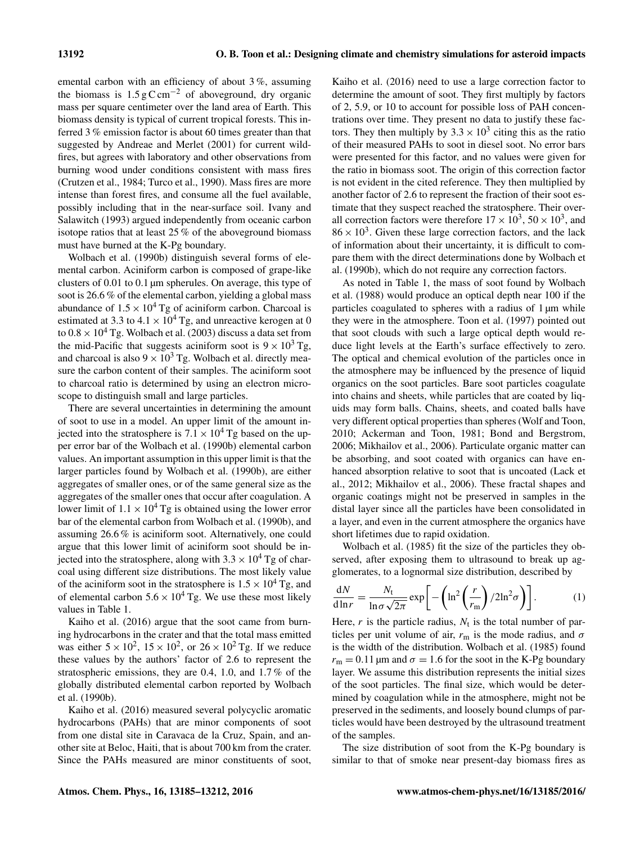emental carbon with an efficiency of about 3 %, assuming the biomass is  $1.5 \text{ g C cm}^{-2}$  of aboveground, dry organic mass per square centimeter over the land area of Earth. This biomass density is typical of current tropical forests. This inferred 3 % emission factor is about 60 times greater than that suggested by Andreae and Merlet (2001) for current wildfires, but agrees with laboratory and other observations from burning wood under conditions consistent with mass fires (Crutzen et al., 1984; Turco et al., 1990). Mass fires are more intense than forest fires, and consume all the fuel available, possibly including that in the near-surface soil. Ivany and Salawitch (1993) argued independently from oceanic carbon isotope ratios that at least 25 % of the aboveground biomass must have burned at the K-Pg boundary.

Wolbach et al. (1990b) distinguish several forms of elemental carbon. Aciniform carbon is composed of grape-like clusters of 0.01 to 0.1 µm spherules. On average, this type of soot is 26.6 % of the elemental carbon, yielding a global mass abundance of  $1.5 \times 10^4$  Tg of aciniform carbon. Charcoal is estimated at 3.3 to 4.1  $\times$  10<sup>4</sup> Tg, and unreactive kerogen at 0 to  $0.8 \times 10^4$  Tg. Wolbach et al. (2003) discuss a data set from the mid-Pacific that suggests aciniform soot is  $9 \times 10^3$  Tg, and charcoal is also  $9 \times 10^3$  Tg. Wolbach et al. directly measure the carbon content of their samples. The aciniform soot to charcoal ratio is determined by using an electron microscope to distinguish small and large particles.

There are several uncertainties in determining the amount of soot to use in a model. An upper limit of the amount injected into the stratosphere is  $7.1 \times 10^4$  Tg based on the upper error bar of the Wolbach et al. (1990b) elemental carbon values. An important assumption in this upper limit is that the larger particles found by Wolbach et al. (1990b), are either aggregates of smaller ones, or of the same general size as the aggregates of the smaller ones that occur after coagulation. A lower limit of  $1.1 \times 10^4$  Tg is obtained using the lower error bar of the elemental carbon from Wolbach et al. (1990b), and assuming 26.6 % is aciniform soot. Alternatively, one could argue that this lower limit of aciniform soot should be injected into the stratosphere, along with  $3.3 \times 10^4$  Tg of charcoal using different size distributions. The most likely value of the aciniform soot in the stratosphere is  $1.5 \times 10^4$  Tg, and of elemental carbon  $5.6 \times 10^4$  Tg. We use these most likely values in Table 1.

Kaiho et al. (2016) argue that the soot came from burning hydrocarbons in the crater and that the total mass emitted was either  $5 \times 10^2$ ,  $15 \times 10^2$ , or  $26 \times 10^2$  Tg. If we reduce these values by the authors' factor of 2.6 to represent the stratospheric emissions, they are 0.4, 1.0, and 1.7 % of the globally distributed elemental carbon reported by Wolbach et al. (1990b).

Kaiho et al. (2016) measured several polycyclic aromatic hydrocarbons (PAHs) that are minor components of soot from one distal site in Caravaca de la Cruz, Spain, and another site at Beloc, Haiti, that is about 700 km from the crater. Since the PAHs measured are minor constituents of soot,

Kaiho et al. (2016) need to use a large correction factor to determine the amount of soot. They first multiply by factors of 2, 5.9, or 10 to account for possible loss of PAH concentrations over time. They present no data to justify these factors. They then multiply by  $3.3 \times 10^3$  citing this as the ratio of their measured PAHs to soot in diesel soot. No error bars were presented for this factor, and no values were given for the ratio in biomass soot. The origin of this correction factor is not evident in the cited reference. They then multiplied by another factor of 2.6 to represent the fraction of their soot estimate that they suspect reached the stratosphere. Their overall correction factors were therefore  $17 \times 10^3$ ,  $50 \times 10^3$ , and  $86 \times 10^3$ . Given these large correction factors, and the lack of information about their uncertainty, it is difficult to compare them with the direct determinations done by Wolbach et al. (1990b), which do not require any correction factors.

As noted in Table 1, the mass of soot found by Wolbach et al. (1988) would produce an optical depth near 100 if the particles coagulated to spheres with a radius of 1 µm while they were in the atmosphere. Toon et al. (1997) pointed out that soot clouds with such a large optical depth would reduce light levels at the Earth's surface effectively to zero. The optical and chemical evolution of the particles once in the atmosphere may be influenced by the presence of liquid organics on the soot particles. Bare soot particles coagulate into chains and sheets, while particles that are coated by liquids may form balls. Chains, sheets, and coated balls have very different optical properties than spheres (Wolf and Toon, 2010; Ackerman and Toon, 1981; Bond and Bergstrom, 2006; Mikhailov et al., 2006). Particulate organic matter can be absorbing, and soot coated with organics can have enhanced absorption relative to soot that is uncoated (Lack et al., 2012; Mikhailov et al., 2006). These fractal shapes and organic coatings might not be preserved in samples in the distal layer since all the particles have been consolidated in a layer, and even in the current atmosphere the organics have short lifetimes due to rapid oxidation.

Wolbach et al. (1985) fit the size of the particles they observed, after exposing them to ultrasound to break up agglomerates, to a lognormal size distribution, described by

$$
\frac{dN}{d\ln r} = \frac{N_t}{\ln \sigma \sqrt{2\pi}} \exp\left[-\left(\ln^2\left(\frac{r}{r_m}\right)/2\ln^2\sigma\right)\right].\tag{1}
$$

Here,  $r$  is the particle radius,  $N_t$  is the total number of particles per unit volume of air,  $r_m$  is the mode radius, and  $\sigma$ is the width of the distribution. Wolbach et al. (1985) found  $r_m = 0.11$  µm and  $\sigma = 1.6$  for the soot in the K-Pg boundary layer. We assume this distribution represents the initial sizes of the soot particles. The final size, which would be determined by coagulation while in the atmosphere, might not be preserved in the sediments, and loosely bound clumps of particles would have been destroyed by the ultrasound treatment of the samples.

The size distribution of soot from the K-Pg boundary is similar to that of smoke near present-day biomass fires as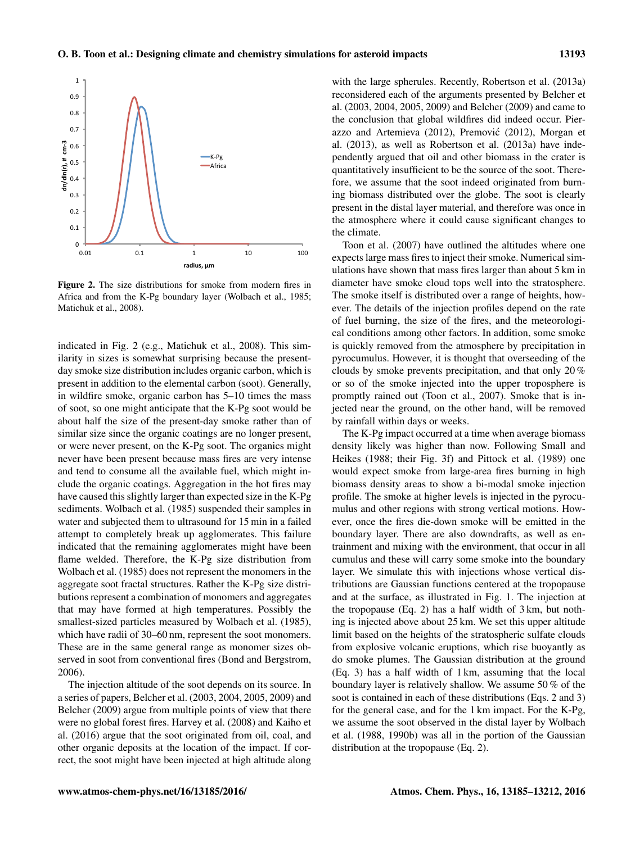

Figure 2. The size distributions for smoke from modern fires in Africa and from the K-Pg boundary layer (Wolbach et al., 1985; Matichuk et al., 2008).

indicated in Fig. 2 (e.g., Matichuk et al., 2008). This similarity in sizes is somewhat surprising because the presentday smoke size distribution includes organic carbon, which is present in addition to the elemental carbon (soot). Generally, in wildfire smoke, organic carbon has 5–10 times the mass of soot, so one might anticipate that the K-Pg soot would be about half the size of the present-day smoke rather than of similar size since the organic coatings are no longer present, or were never present, on the K-Pg soot. The organics might never have been present because mass fires are very intense and tend to consume all the available fuel, which might include the organic coatings. Aggregation in the hot fires may have caused this slightly larger than expected size in the K-Pg sediments. Wolbach et al. (1985) suspended their samples in water and subjected them to ultrasound for 15 min in a failed attempt to completely break up agglomerates. This failure indicated that the remaining agglomerates might have been flame welded. Therefore, the K-Pg size distribution from Wolbach et al. (1985) does not represent the monomers in the aggregate soot fractal structures. Rather the K-Pg size distributions represent a combination of monomers and aggregates that may have formed at high temperatures. Possibly the smallest-sized particles measured by Wolbach et al. (1985), which have radii of 30–60 nm, represent the soot monomers. These are in the same general range as monomer sizes observed in soot from conventional fires (Bond and Bergstrom, 2006).

The injection altitude of the soot depends on its source. In a series of papers, Belcher et al. (2003, 2004, 2005, 2009) and Belcher (2009) argue from multiple points of view that there were no global forest fires. Harvey et al. (2008) and Kaiho et al. (2016) argue that the soot originated from oil, coal, and other organic deposits at the location of the impact. If correct, the soot might have been injected at high altitude along with the large spherules. Recently, Robertson et al. (2013a) reconsidered each of the arguments presented by Belcher et al. (2003, 2004, 2005, 2009) and Belcher (2009) and came to the conclusion that global wildfires did indeed occur. Pierazzo and Artemieva (2012), Premovic (2012), Morgan et ´ al. (2013), as well as Robertson et al. (2013a) have independently argued that oil and other biomass in the crater is quantitatively insufficient to be the source of the soot. Therefore, we assume that the soot indeed originated from burning biomass distributed over the globe. The soot is clearly present in the distal layer material, and therefore was once in the atmosphere where it could cause significant changes to the climate.

Toon et al. (2007) have outlined the altitudes where one expects large mass fires to inject their smoke. Numerical simulations have shown that mass fires larger than about 5 km in diameter have smoke cloud tops well into the stratosphere. The smoke itself is distributed over a range of heights, however. The details of the injection profiles depend on the rate of fuel burning, the size of the fires, and the meteorological conditions among other factors. In addition, some smoke is quickly removed from the atmosphere by precipitation in pyrocumulus. However, it is thought that overseeding of the clouds by smoke prevents precipitation, and that only 20 % or so of the smoke injected into the upper troposphere is promptly rained out (Toon et al., 2007). Smoke that is injected near the ground, on the other hand, will be removed by rainfall within days or weeks.

The K-Pg impact occurred at a time when average biomass density likely was higher than now. Following Small and Heikes (1988; their Fig. 3f) and Pittock et al. (1989) one would expect smoke from large-area fires burning in high biomass density areas to show a bi-modal smoke injection profile. The smoke at higher levels is injected in the pyrocumulus and other regions with strong vertical motions. However, once the fires die-down smoke will be emitted in the boundary layer. There are also downdrafts, as well as entrainment and mixing with the environment, that occur in all cumulus and these will carry some smoke into the boundary layer. We simulate this with injections whose vertical distributions are Gaussian functions centered at the tropopause and at the surface, as illustrated in Fig. 1. The injection at the tropopause (Eq. 2) has a half width of 3 km, but nothing is injected above about 25 km. We set this upper altitude limit based on the heights of the stratospheric sulfate clouds from explosive volcanic eruptions, which rise buoyantly as do smoke plumes. The Gaussian distribution at the ground (Eq. 3) has a half width of 1 km, assuming that the local boundary layer is relatively shallow. We assume 50 % of the soot is contained in each of these distributions (Eqs. 2 and 3) for the general case, and for the 1 km impact. For the K-Pg, we assume the soot observed in the distal layer by Wolbach et al. (1988, 1990b) was all in the portion of the Gaussian distribution at the tropopause (Eq. 2).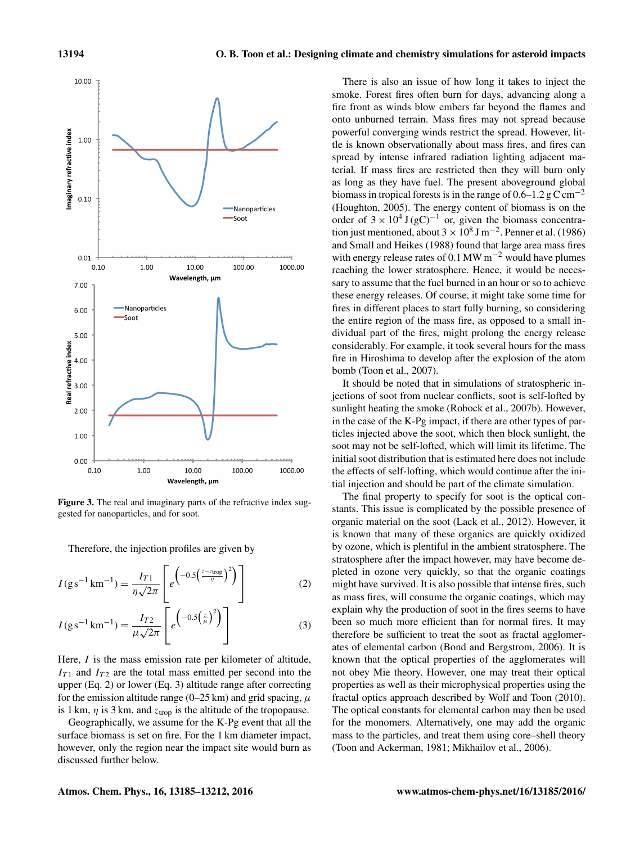

Figure 3. The real and imaginary parts of the refractive index suggested for nanoparticles, and for soot.

Therefore, the injection profiles are given by

$$
I(g s^{-1} km^{-1}) = \frac{I_{T1}}{\eta \sqrt{2\pi}} \left[ e^{-0.5 \left( \frac{z - z_{\text{trop}}}{\eta} \right)^2} \right]
$$
(2)

$$
I(g s^{-1} km^{-1}) = \frac{I_{T2}}{\mu \sqrt{2\pi}} \left[ e^{\left(-0.5\left(\frac{z}{\mu}\right)^2\right)} \right]
$$
(3)

Here, *I* is the mass emission rate per kilometer of altitude,  $I_{T1}$  and  $I_{T2}$  are the total mass emitted per second into the upper (Eq. 2) or lower (Eq. 3) altitude range after correcting for the emission altitude range (0–25 km) and grid spacing,  $\mu$ is 1 km,  $\eta$  is 3 km, and  $z_{\text{trop}}$  is the altitude of the tropopause.

Geographically, we assume for the K-Pg event that all the surface biomass is set on fire. For the 1 km diameter impact, however, only the region near the impact site would burn as discussed further below.

There is also an issue of how long it takes to inject the smoke. Forest fires often burn for days, advancing along a fire front as winds blow embers far beyond the flames and onto unburned terrain. Mass fires may not spread because powerful converging winds restrict the spread. However, little is known observationally about mass fires, and fires can spread by intense infrared radiation lighting adjacent material. If mass fires are restricted then they will burn only as long as they have fuel. The present aboveground global biomass in tropical forests is in the range of  $0.6-1.2$  g C cm<sup>-2</sup> (Houghton, 2005). The energy content of biomass is on the order of  $3 \times 10^4$  J (gC)<sup>-1</sup> or, given the biomass concentration just mentioned, about  $3 \times 10^8$  J m<sup>-2</sup>. Penner et al. (1986) and Small and Heikes (1988) found that large area mass fires with energy release rates of 0.1 MW  $m^{-2}$  would have plumes reaching the lower stratosphere. Hence, it would be necessary to assume that the fuel burned in an hour or so to achieve these energy releases. Of course, it might take some time for fires in different places to start fully burning, so considering the entire region of the mass fire, as opposed to a small individual part of the fires, might prolong the energy release considerably. For example, it took several hours for the mass fire in Hiroshima to develop after the explosion of the atom bomb (Toon et al., 2007).

It should be noted that in simulations of stratospheric injections of soot from nuclear conflicts, soot is self-lofted by sunlight heating the smoke (Robock et al., 2007b). However, in the case of the K-Pg impact, if there are other types of particles injected above the soot, which then block sunlight, the soot may not be self-lofted, which will limit its lifetime. The initial soot distribution that is estimated here does not include the effects of self-lofting, which would continue after the initial injection and should be part of the climate simulation.

The final property to specify for soot is the optical constants. This issue is complicated by the possible presence of organic material on the soot (Lack et al., 2012). However, it is known that many of these organics are quickly oxidized by ozone, which is plentiful in the ambient stratosphere. The stratosphere after the impact however, may have become depleted in ozone very quickly, so that the organic coatings might have survived. It is also possible that intense fires, such as mass fires, will consume the organic coatings, which may explain why the production of soot in the fires seems to have been so much more efficient than for normal fires. It may therefore be sufficient to treat the soot as fractal agglomerates of elemental carbon (Bond and Bergstrom, 2006). It is known that the optical properties of the agglomerates will not obey Mie theory. However, one may treat their optical properties as well as their microphysical properties using the fractal optics approach described by Wolf and Toon (2010). The optical constants for elemental carbon may then be used for the monomers. Alternatively, one may add the organic mass to the particles, and treat them using core–shell theory (Toon and Ackerman, 1981; Mikhailov et al., 2006).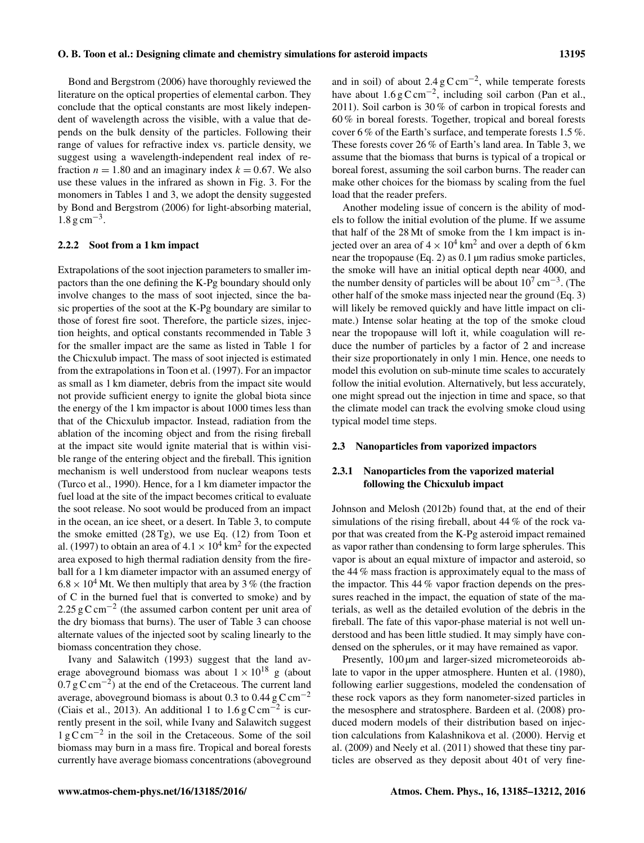Bond and Bergstrom (2006) have thoroughly reviewed the literature on the optical properties of elemental carbon. They conclude that the optical constants are most likely independent of wavelength across the visible, with a value that depends on the bulk density of the particles. Following their range of values for refractive index vs. particle density, we suggest using a wavelength-independent real index of refraction  $n = 1.80$  and an imaginary index  $k = 0.67$ . We also use these values in the infrared as shown in Fig. 3. For the monomers in Tables 1 and 3, we adopt the density suggested by Bond and Bergstrom (2006) for light-absorbing material, 1.8 g cm−<sup>3</sup> .

## 2.2.2 Soot from a 1 km impact

Extrapolations of the soot injection parameters to smaller impactors than the one defining the K-Pg boundary should only involve changes to the mass of soot injected, since the basic properties of the soot at the K-Pg boundary are similar to those of forest fire soot. Therefore, the particle sizes, injection heights, and optical constants recommended in Table 3 for the smaller impact are the same as listed in Table 1 for the Chicxulub impact. The mass of soot injected is estimated from the extrapolations in Toon et al. (1997). For an impactor as small as 1 km diameter, debris from the impact site would not provide sufficient energy to ignite the global biota since the energy of the 1 km impactor is about 1000 times less than that of the Chicxulub impactor. Instead, radiation from the ablation of the incoming object and from the rising fireball at the impact site would ignite material that is within visible range of the entering object and the fireball. This ignition mechanism is well understood from nuclear weapons tests (Turco et al., 1990). Hence, for a 1 km diameter impactor the fuel load at the site of the impact becomes critical to evaluate the soot release. No soot would be produced from an impact in the ocean, an ice sheet, or a desert. In Table 3, to compute the smoke emitted  $(28 \text{ Tg})$ , we use Eq. (12) from Toon et al. (1997) to obtain an area of  $4.1 \times 10^4$  km<sup>2</sup> for the expected area exposed to high thermal radiation density from the fireball for a 1 km diameter impactor with an assumed energy of  $6.8 \times 10^4$  Mt. We then multiply that area by 3 % (the fraction of C in the burned fuel that is converted to smoke) and by 2.25 g C cm<sup>-2</sup> (the assumed carbon content per unit area of the dry biomass that burns). The user of Table 3 can choose alternate values of the injected soot by scaling linearly to the biomass concentration they chose.

Ivany and Salawitch (1993) suggest that the land average aboveground biomass was about  $1 \times 10^{18}$  g (about  $0.7 \text{ g C cm}^{-2}$ ) at the end of the Cretaceous. The current land average, aboveground biomass is about 0.3 to 0.44  $\rm g \, C \, cm^{-2}$ (Ciais et al., 2013). An additional 1 to  $1.6 \text{ g C cm}^{-2}$  is currently present in the soil, while Ivany and Salawitch suggest 1 g C cm−<sup>2</sup> in the soil in the Cretaceous. Some of the soil biomass may burn in a mass fire. Tropical and boreal forests currently have average biomass concentrations (aboveground

and in soil) of about  $2.4 \text{ g C cm}^{-2}$ , while temperate forests have about  $1.6 \text{ g C cm}^{-2}$ , including soil carbon (Pan et al., 2011). Soil carbon is 30 % of carbon in tropical forests and 60 % in boreal forests. Together, tropical and boreal forests cover 6 % of the Earth's surface, and temperate forests 1.5 %. These forests cover 26 % of Earth's land area. In Table 3, we assume that the biomass that burns is typical of a tropical or boreal forest, assuming the soil carbon burns. The reader can make other choices for the biomass by scaling from the fuel load that the reader prefers.

Another modeling issue of concern is the ability of models to follow the initial evolution of the plume. If we assume that half of the 28 Mt of smoke from the 1 km impact is injected over an area of  $4 \times 10^4$  km<sup>2</sup> and over a depth of 6 km near the tropopause (Eq. 2) as 0.1 µm radius smoke particles, the smoke will have an initial optical depth near 4000, and the number density of particles will be about  $10^7 \text{ cm}^{-3}$ . (The other half of the smoke mass injected near the ground (Eq. 3) will likely be removed quickly and have little impact on climate.) Intense solar heating at the top of the smoke cloud near the tropopause will loft it, while coagulation will reduce the number of particles by a factor of 2 and increase their size proportionately in only 1 min. Hence, one needs to model this evolution on sub-minute time scales to accurately follow the initial evolution. Alternatively, but less accurately, one might spread out the injection in time and space, so that the climate model can track the evolving smoke cloud using typical model time steps.

## 2.3 Nanoparticles from vaporized impactors

# 2.3.1 Nanoparticles from the vaporized material following the Chicxulub impact

Johnson and Melosh (2012b) found that, at the end of their simulations of the rising fireball, about 44 % of the rock vapor that was created from the K-Pg asteroid impact remained as vapor rather than condensing to form large spherules. This vapor is about an equal mixture of impactor and asteroid, so the 44 % mass fraction is approximately equal to the mass of the impactor. This 44 % vapor fraction depends on the pressures reached in the impact, the equation of state of the materials, as well as the detailed evolution of the debris in the fireball. The fate of this vapor-phase material is not well understood and has been little studied. It may simply have condensed on the spherules, or it may have remained as vapor.

Presently, 100  $\mu$ m and larger-sized micrometeoroids ablate to vapor in the upper atmosphere. Hunten et al. (1980), following earlier suggestions, modeled the condensation of these rock vapors as they form nanometer-sized particles in the mesosphere and stratosphere. Bardeen et al. (2008) produced modern models of their distribution based on injection calculations from Kalashnikova et al. (2000). Hervig et al. (2009) and Neely et al. (2011) showed that these tiny particles are observed as they deposit about 40t of very fine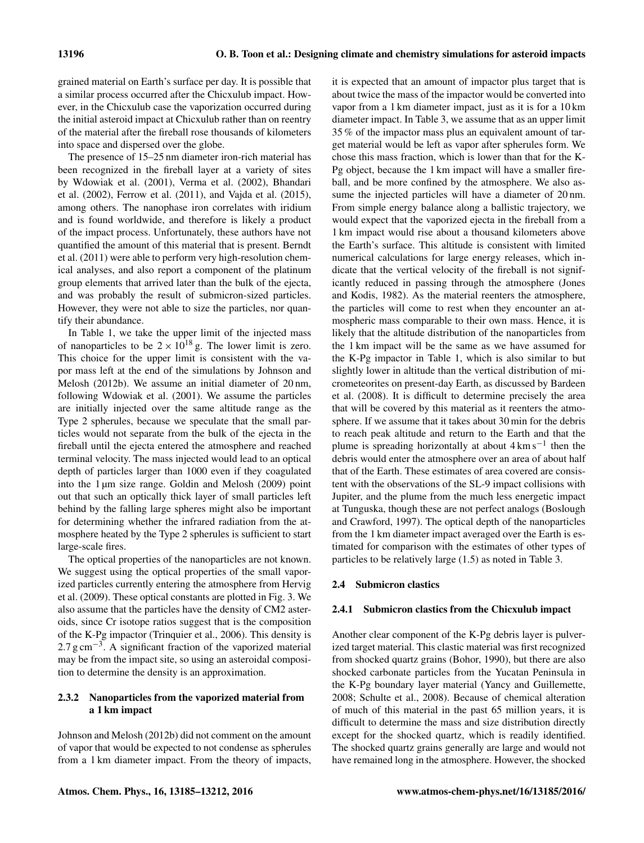grained material on Earth's surface per day. It is possible that a similar process occurred after the Chicxulub impact. However, in the Chicxulub case the vaporization occurred during the initial asteroid impact at Chicxulub rather than on reentry of the material after the fireball rose thousands of kilometers into space and dispersed over the globe.

The presence of 15–25 nm diameter iron-rich material has been recognized in the fireball layer at a variety of sites by Wdowiak et al. (2001), Verma et al. (2002), Bhandari et al. (2002), Ferrow et al. (2011), and Vajda et al. (2015), among others. The nanophase iron correlates with iridium and is found worldwide, and therefore is likely a product of the impact process. Unfortunately, these authors have not quantified the amount of this material that is present. Berndt et al. (2011) were able to perform very high-resolution chemical analyses, and also report a component of the platinum group elements that arrived later than the bulk of the ejecta, and was probably the result of submicron-sized particles. However, they were not able to size the particles, nor quantify their abundance.

In Table 1, we take the upper limit of the injected mass of nanoparticles to be  $2 \times 10^{18}$  g. The lower limit is zero. This choice for the upper limit is consistent with the vapor mass left at the end of the simulations by Johnson and Melosh (2012b). We assume an initial diameter of 20 nm, following Wdowiak et al. (2001). We assume the particles are initially injected over the same altitude range as the Type 2 spherules, because we speculate that the small particles would not separate from the bulk of the ejecta in the fireball until the ejecta entered the atmosphere and reached terminal velocity. The mass injected would lead to an optical depth of particles larger than 1000 even if they coagulated into the 1 µm size range. Goldin and Melosh (2009) point out that such an optically thick layer of small particles left behind by the falling large spheres might also be important for determining whether the infrared radiation from the atmosphere heated by the Type 2 spherules is sufficient to start large-scale fires.

The optical properties of the nanoparticles are not known. We suggest using the optical properties of the small vaporized particles currently entering the atmosphere from Hervig et al. (2009). These optical constants are plotted in Fig. 3. We also assume that the particles have the density of CM2 asteroids, since Cr isotope ratios suggest that is the composition of the K-Pg impactor (Trinquier et al., 2006). This density is 2.7 g cm<sup>-3</sup>. A significant fraction of the vaporized material may be from the impact site, so using an asteroidal composition to determine the density is an approximation.

## 2.3.2 Nanoparticles from the vaporized material from a 1 km impact

Johnson and Melosh (2012b) did not comment on the amount of vapor that would be expected to not condense as spherules from a 1 km diameter impact. From the theory of impacts, it is expected that an amount of impactor plus target that is about twice the mass of the impactor would be converted into vapor from a 1 km diameter impact, just as it is for a 10 km diameter impact. In Table 3, we assume that as an upper limit 35 % of the impactor mass plus an equivalent amount of target material would be left as vapor after spherules form. We chose this mass fraction, which is lower than that for the K-Pg object, because the 1 km impact will have a smaller fireball, and be more confined by the atmosphere. We also assume the injected particles will have a diameter of 20 nm. From simple energy balance along a ballistic trajectory, we would expect that the vaporized ejecta in the fireball from a 1 km impact would rise about a thousand kilometers above the Earth's surface. This altitude is consistent with limited numerical calculations for large energy releases, which indicate that the vertical velocity of the fireball is not significantly reduced in passing through the atmosphere (Jones and Kodis, 1982). As the material reenters the atmosphere, the particles will come to rest when they encounter an atmospheric mass comparable to their own mass. Hence, it is likely that the altitude distribution of the nanoparticles from the 1 km impact will be the same as we have assumed for the K-Pg impactor in Table 1, which is also similar to but slightly lower in altitude than the vertical distribution of micrometeorites on present-day Earth, as discussed by Bardeen et al. (2008). It is difficult to determine precisely the area that will be covered by this material as it reenters the atmosphere. If we assume that it takes about 30 min for the debris to reach peak altitude and return to the Earth and that the plume is spreading horizontally at about 4 km s<sup>-1</sup> then the debris would enter the atmosphere over an area of about half that of the Earth. These estimates of area covered are consistent with the observations of the SL-9 impact collisions with Jupiter, and the plume from the much less energetic impact at Tunguska, though these are not perfect analogs (Boslough and Crawford, 1997). The optical depth of the nanoparticles from the 1 km diameter impact averaged over the Earth is estimated for comparison with the estimates of other types of particles to be relatively large (1.5) as noted in Table 3.

## 2.4 Submicron clastics

#### 2.4.1 Submicron clastics from the Chicxulub impact

Another clear component of the K-Pg debris layer is pulverized target material. This clastic material was first recognized from shocked quartz grains (Bohor, 1990), but there are also shocked carbonate particles from the Yucatan Peninsula in the K-Pg boundary layer material (Yancy and Guillemette, 2008; Schulte et al., 2008). Because of chemical alteration of much of this material in the past 65 million years, it is difficult to determine the mass and size distribution directly except for the shocked quartz, which is readily identified. The shocked quartz grains generally are large and would not have remained long in the atmosphere. However, the shocked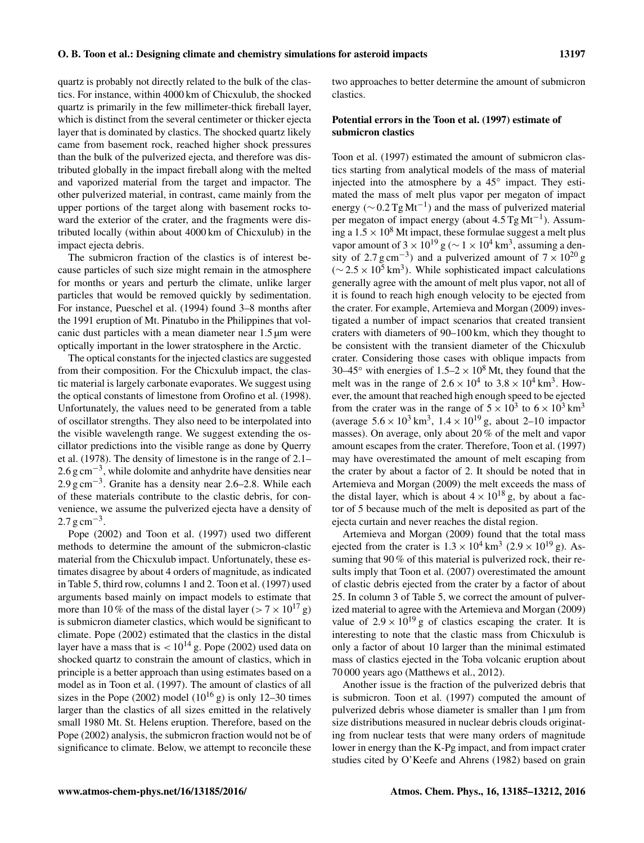quartz is probably not directly related to the bulk of the clastics. For instance, within 4000 km of Chicxulub, the shocked quartz is primarily in the few millimeter-thick fireball layer, which is distinct from the several centimeter or thicker ejecta layer that is dominated by clastics. The shocked quartz likely came from basement rock, reached higher shock pressures than the bulk of the pulverized ejecta, and therefore was distributed globally in the impact fireball along with the melted and vaporized material from the target and impactor. The other pulverized material, in contrast, came mainly from the upper portions of the target along with basement rocks toward the exterior of the crater, and the fragments were distributed locally (within about 4000 km of Chicxulub) in the impact ejecta debris.

The submicron fraction of the clastics is of interest because particles of such size might remain in the atmosphere for months or years and perturb the climate, unlike larger particles that would be removed quickly by sedimentation. For instance, Pueschel et al. (1994) found 3–8 months after the 1991 eruption of Mt. Pinatubo in the Philippines that volcanic dust particles with a mean diameter near 1.5 µm were optically important in the lower stratosphere in the Arctic.

The optical constants for the injected clastics are suggested from their composition. For the Chicxulub impact, the clastic material is largely carbonate evaporates. We suggest using the optical constants of limestone from Orofino et al. (1998). Unfortunately, the values need to be generated from a table of oscillator strengths. They also need to be interpolated into the visible wavelength range. We suggest extending the oscillator predictions into the visible range as done by Querry et al. (1978). The density of limestone is in the range of 2.1– 2.6 g cm<sup>-3</sup>, while dolomite and anhydrite have densities near 2.9 g cm<sup>-3</sup>. Granite has a density near 2.6–2.8. While each of these materials contribute to the clastic debris, for convenience, we assume the pulverized ejecta have a density of  $2.7 \text{ g cm}^{-3}$ .

Pope (2002) and Toon et al. (1997) used two different methods to determine the amount of the submicron-clastic material from the Chicxulub impact. Unfortunately, these estimates disagree by about 4 orders of magnitude, as indicated in Table 5, third row, columns 1 and 2. Toon et al. (1997) used arguments based mainly on impact models to estimate that more than 10 % of the mass of the distal layer ( $> 7 \times 10^{17}$  g) is submicron diameter clastics, which would be significant to climate. Pope (2002) estimated that the clastics in the distal layer have a mass that is  $< 10^{14}$  g. Pope (2002) used data on shocked quartz to constrain the amount of clastics, which in principle is a better approach than using estimates based on a model as in Toon et al. (1997). The amount of clastics of all sizes in the Pope (2002) model ( $10^{16}$  g) is only 12–30 times larger than the clastics of all sizes emitted in the relatively small 1980 Mt. St. Helens eruption. Therefore, based on the Pope (2002) analysis, the submicron fraction would not be of significance to climate. Below, we attempt to reconcile these

two approaches to better determine the amount of submicron clastics.

## Potential errors in the Toon et al. (1997) estimate of submicron clastics

Toon et al. (1997) estimated the amount of submicron clastics starting from analytical models of the mass of material injected into the atmosphere by a 45◦ impact. They estimated the mass of melt plus vapor per megaton of impact energy ( $\sim$  0.2 Tg Mt<sup>-1</sup>) and the mass of pulverized material per megaton of impact energy (about 4.5 Tg Mt<sup>-1</sup>). Assuming a  $1.5 \times 10^8$  Mt impact, these formulae suggest a melt plus vapor amount of  $3 \times 10^{19}$  g ( $\sim 1 \times 10^4$  km<sup>3</sup>, assuming a density of 2.7 g cm<sup>-3</sup>) and a pulverized amount of  $7 \times 10^{20}$  g  $(\sim 2.5 \times 10^5 \text{ km}^3)$ . While sophisticated impact calculations generally agree with the amount of melt plus vapor, not all of it is found to reach high enough velocity to be ejected from the crater. For example, Artemieva and Morgan (2009) investigated a number of impact scenarios that created transient craters with diameters of 90–100 km, which they thought to be consistent with the transient diameter of the Chicxulub crater. Considering those cases with oblique impacts from 30–45 $\degree$  with energies of 1.5–2  $\times$  10 $\degree$  Mt, they found that the melt was in the range of  $2.6 \times 10^4$  to  $3.8 \times 10^4$  km<sup>3</sup>. However, the amount that reached high enough speed to be ejected from the crater was in the range of  $5 \times 10^3$  to  $6 \times 10^3$  km<sup>3</sup> (average  $5.6 \times 10^3 \text{ km}^3$ ,  $1.4 \times 10^{19} \text{ g}$ , about 2–10 impactor masses). On average, only about 20 % of the melt and vapor amount escapes from the crater. Therefore, Toon et al. (1997) may have overestimated the amount of melt escaping from the crater by about a factor of 2. It should be noted that in Artemieva and Morgan (2009) the melt exceeds the mass of the distal layer, which is about  $4 \times 10^{18}$  g, by about a factor of 5 because much of the melt is deposited as part of the ejecta curtain and never reaches the distal region.

Artemieva and Morgan (2009) found that the total mass ejected from the crater is  $1.3 \times 10^4$  km<sup>3</sup> ( $2.9 \times 10^{19}$  g). Assuming that 90 % of this material is pulverized rock, their results imply that Toon et al. (2007) overestimated the amount of clastic debris ejected from the crater by a factor of about 25. In column 3 of Table 5, we correct the amount of pulverized material to agree with the Artemieva and Morgan (2009) value of  $2.9 \times 10^{19}$  g of clastics escaping the crater. It is interesting to note that the clastic mass from Chicxulub is only a factor of about 10 larger than the minimal estimated mass of clastics ejected in the Toba volcanic eruption about 70 000 years ago (Matthews et al., 2012).

Another issue is the fraction of the pulverized debris that is submicron. Toon et al. (1997) computed the amount of pulverized debris whose diameter is smaller than 1 µm from size distributions measured in nuclear debris clouds originating from nuclear tests that were many orders of magnitude lower in energy than the K-Pg impact, and from impact crater studies cited by O'Keefe and Ahrens (1982) based on grain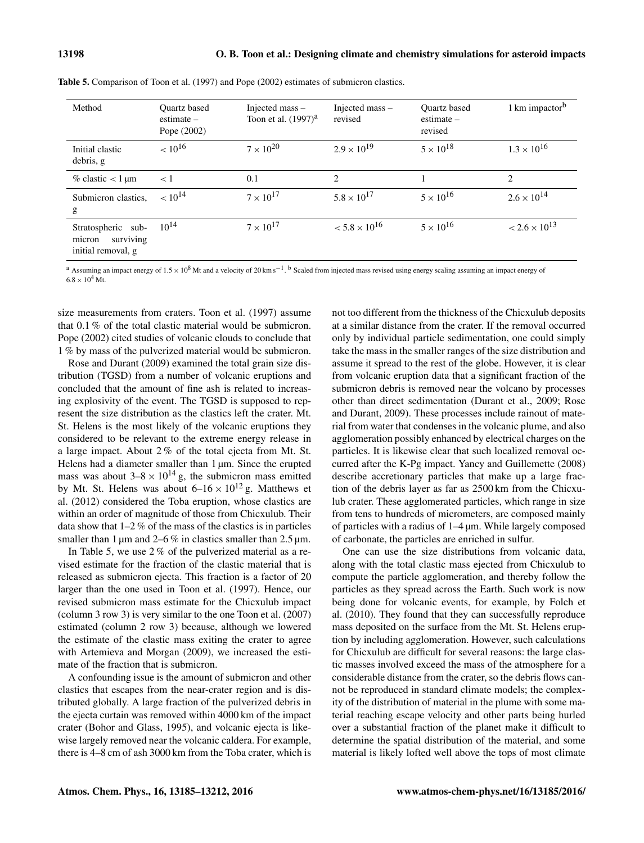| Method                                                          | <b>Ouartz</b> based<br>$estimate -$<br>Pope (2002) | Injected mass -<br>Toon et al. $(1997)^{a}$ | Injected mass -<br>revised | <b>Ouartz</b> based<br>$estimate -$<br>revised | 1 km impactor <sup>b</sup>    |
|-----------------------------------------------------------------|----------------------------------------------------|---------------------------------------------|----------------------------|------------------------------------------------|-------------------------------|
| Initial clastic<br>debris, g                                    | $< 10^{16}$                                        | $7 \times 10^{20}$                          | $2.9 \times 10^{19}$       | $5 \times 10^{18}$                             | $1.3 \times 10^{16}$          |
| $\%$ clastic < 1 µm                                             | $\lt 1$                                            | 0.1                                         | $\mathfrak{D}$             |                                                | $\mathfrak{D}_{\mathfrak{p}}$ |
| Submicron clastics,<br>g                                        | $< 10^{14}$                                        | $7 \times 10^{17}$                          | $5.8 \times 10^{17}$       | $5 \times 10^{16}$                             | $2.6 \times 10^{14}$          |
| Stratospheric sub-<br>surviving<br>micron<br>initial removal, g | $10^{14}$                                          | $7 \times 10^{17}$                          | $< 5.8 \times 10^{16}$     | $5 \times 10^{16}$                             | $< 2.6 \times 10^{13}$        |

Table 5. Comparison of Toon et al. (1997) and Pope (2002) estimates of submicron clastics.

<sup>a</sup> Assuming an impact energy of 1.5 × 10<sup>8</sup> Mt and a velocity of 20 km s<sup>-1</sup>. <sup>b</sup> Scaled from injected mass revised using energy scaling assuming an impact energy of  $6.8 \times 10^{4}$  Mt.

size measurements from craters. Toon et al. (1997) assume that 0.1 % of the total clastic material would be submicron. Pope (2002) cited studies of volcanic clouds to conclude that 1 % by mass of the pulverized material would be submicron.

Rose and Durant (2009) examined the total grain size distribution (TGSD) from a number of volcanic eruptions and concluded that the amount of fine ash is related to increasing explosivity of the event. The TGSD is supposed to represent the size distribution as the clastics left the crater. Mt. St. Helens is the most likely of the volcanic eruptions they considered to be relevant to the extreme energy release in a large impact. About 2 % of the total ejecta from Mt. St. Helens had a diameter smaller than 1  $\mu$ m. Since the erupted mass was about  $3-8 \times 10^{14}$  g, the submicron mass emitted by Mt. St. Helens was about  $6-16 \times 10^{12}$  g. Matthews et al. (2012) considered the Toba eruption, whose clastics are within an order of magnitude of those from Chicxulub. Their data show that  $1-2\%$  of the mass of the clastics is in particles smaller than 1  $\mu$ m and 2–6 % in clastics smaller than 2.5  $\mu$ m.

In Table 5, we use 2 % of the pulverized material as a revised estimate for the fraction of the clastic material that is released as submicron ejecta. This fraction is a factor of 20 larger than the one used in Toon et al. (1997). Hence, our revised submicron mass estimate for the Chicxulub impact (column 3 row 3) is very similar to the one Toon et al. (2007) estimated (column 2 row 3) because, although we lowered the estimate of the clastic mass exiting the crater to agree with Artemieva and Morgan (2009), we increased the estimate of the fraction that is submicron.

A confounding issue is the amount of submicron and other clastics that escapes from the near-crater region and is distributed globally. A large fraction of the pulverized debris in the ejecta curtain was removed within 4000 km of the impact crater (Bohor and Glass, 1995), and volcanic ejecta is likewise largely removed near the volcanic caldera. For example, there is 4–8 cm of ash 3000 km from the Toba crater, which is not too different from the thickness of the Chicxulub deposits at a similar distance from the crater. If the removal occurred only by individual particle sedimentation, one could simply take the mass in the smaller ranges of the size distribution and assume it spread to the rest of the globe. However, it is clear from volcanic eruption data that a significant fraction of the submicron debris is removed near the volcano by processes other than direct sedimentation (Durant et al., 2009; Rose and Durant, 2009). These processes include rainout of material from water that condenses in the volcanic plume, and also agglomeration possibly enhanced by electrical charges on the particles. It is likewise clear that such localized removal occurred after the K-Pg impact. Yancy and Guillemette (2008) describe accretionary particles that make up a large fraction of the debris layer as far as 2500 km from the Chicxulub crater. These agglomerated particles, which range in size from tens to hundreds of micrometers, are composed mainly of particles with a radius of 1–4 µm. While largely composed of carbonate, the particles are enriched in sulfur.

One can use the size distributions from volcanic data, along with the total clastic mass ejected from Chicxulub to compute the particle agglomeration, and thereby follow the particles as they spread across the Earth. Such work is now being done for volcanic events, for example, by Folch et al. (2010). They found that they can successfully reproduce mass deposited on the surface from the Mt. St. Helens eruption by including agglomeration. However, such calculations for Chicxulub are difficult for several reasons: the large clastic masses involved exceed the mass of the atmosphere for a considerable distance from the crater, so the debris flows cannot be reproduced in standard climate models; the complexity of the distribution of material in the plume with some material reaching escape velocity and other parts being hurled over a substantial fraction of the planet make it difficult to determine the spatial distribution of the material, and some material is likely lofted well above the tops of most climate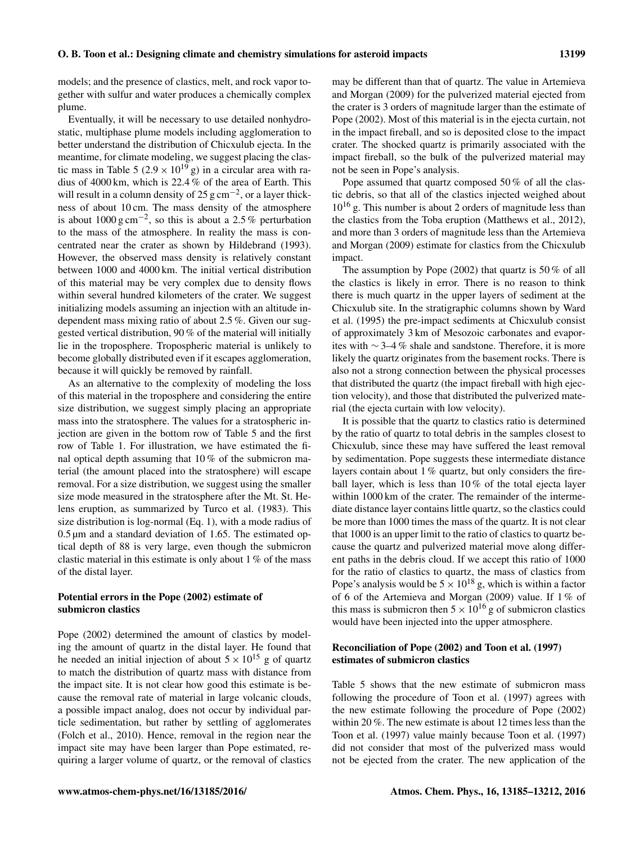models; and the presence of clastics, melt, and rock vapor together with sulfur and water produces a chemically complex plume.

Eventually, it will be necessary to use detailed nonhydrostatic, multiphase plume models including agglomeration to better understand the distribution of Chicxulub ejecta. In the meantime, for climate modeling, we suggest placing the clastic mass in Table 5 ( $2.9 \times 10^{19}$  g) in a circular area with radius of 4000 km, which is 22.4 % of the area of Earth. This will result in a column density of 25  $\text{g cm}^{-2}$ , or a layer thickness of about 10 cm. The mass density of the atmosphere is about  $1000 \text{ g cm}^{-2}$ , so this is about a 2.5 % perturbation to the mass of the atmosphere. In reality the mass is concentrated near the crater as shown by Hildebrand (1993). However, the observed mass density is relatively constant between 1000 and 4000 km. The initial vertical distribution of this material may be very complex due to density flows within several hundred kilometers of the crater. We suggest initializing models assuming an injection with an altitude independent mass mixing ratio of about 2.5 %. Given our suggested vertical distribution, 90 % of the material will initially lie in the troposphere. Tropospheric material is unlikely to become globally distributed even if it escapes agglomeration, because it will quickly be removed by rainfall.

As an alternative to the complexity of modeling the loss of this material in the troposphere and considering the entire size distribution, we suggest simply placing an appropriate mass into the stratosphere. The values for a stratospheric injection are given in the bottom row of Table 5 and the first row of Table 1. For illustration, we have estimated the final optical depth assuming that 10 % of the submicron material (the amount placed into the stratosphere) will escape removal. For a size distribution, we suggest using the smaller size mode measured in the stratosphere after the Mt. St. Helens eruption, as summarized by Turco et al. (1983). This size distribution is log-normal (Eq. 1), with a mode radius of 0.5 µm and a standard deviation of 1.65. The estimated optical depth of 88 is very large, even though the submicron clastic material in this estimate is only about 1 % of the mass of the distal layer.

# Potential errors in the Pope (2002) estimate of submicron clastics

Pope (2002) determined the amount of clastics by modeling the amount of quartz in the distal layer. He found that he needed an initial injection of about  $5 \times 10^{15}$  g of quartz to match the distribution of quartz mass with distance from the impact site. It is not clear how good this estimate is because the removal rate of material in large volcanic clouds, a possible impact analog, does not occur by individual particle sedimentation, but rather by settling of agglomerates (Folch et al., 2010). Hence, removal in the region near the impact site may have been larger than Pope estimated, requiring a larger volume of quartz, or the removal of clastics may be different than that of quartz. The value in Artemieva and Morgan (2009) for the pulverized material ejected from the crater is 3 orders of magnitude larger than the estimate of Pope (2002). Most of this material is in the ejecta curtain, not in the impact fireball, and so is deposited close to the impact crater. The shocked quartz is primarily associated with the impact fireball, so the bulk of the pulverized material may not be seen in Pope's analysis.

Pope assumed that quartz composed 50 % of all the clastic debris, so that all of the clastics injected weighed about  $10^{16}$  g. This number is about 2 orders of magnitude less than the clastics from the Toba eruption (Matthews et al., 2012), and more than 3 orders of magnitude less than the Artemieva and Morgan (2009) estimate for clastics from the Chicxulub impact.

The assumption by Pope (2002) that quartz is 50 % of all the clastics is likely in error. There is no reason to think there is much quartz in the upper layers of sediment at the Chicxulub site. In the stratigraphic columns shown by Ward et al. (1995) the pre-impact sediments at Chicxulub consist of approximately 3 km of Mesozoic carbonates and evaporites with ∼ 3–4 % shale and sandstone. Therefore, it is more likely the quartz originates from the basement rocks. There is also not a strong connection between the physical processes that distributed the quartz (the impact fireball with high ejection velocity), and those that distributed the pulverized material (the ejecta curtain with low velocity).

It is possible that the quartz to clastics ratio is determined by the ratio of quartz to total debris in the samples closest to Chicxulub, since these may have suffered the least removal by sedimentation. Pope suggests these intermediate distance layers contain about 1 % quartz, but only considers the fireball layer, which is less than 10% of the total ejecta layer within 1000 km of the crater. The remainder of the intermediate distance layer contains little quartz, so the clastics could be more than 1000 times the mass of the quartz. It is not clear that 1000 is an upper limit to the ratio of clastics to quartz because the quartz and pulverized material move along different paths in the debris cloud. If we accept this ratio of 1000 for the ratio of clastics to quartz, the mass of clastics from Pope's analysis would be  $5 \times 10^{18}$  g, which is within a factor of 6 of the Artemieva and Morgan (2009) value. If 1 % of this mass is submicron then  $5 \times 10^{16}$  g of submicron clastics would have been injected into the upper atmosphere.

# Reconciliation of Pope (2002) and Toon et al. (1997) estimates of submicron clastics

Table 5 shows that the new estimate of submicron mass following the procedure of Toon et al. (1997) agrees with the new estimate following the procedure of Pope (2002) within 20 %. The new estimate is about 12 times less than the Toon et al. (1997) value mainly because Toon et al. (1997) did not consider that most of the pulverized mass would not be ejected from the crater. The new application of the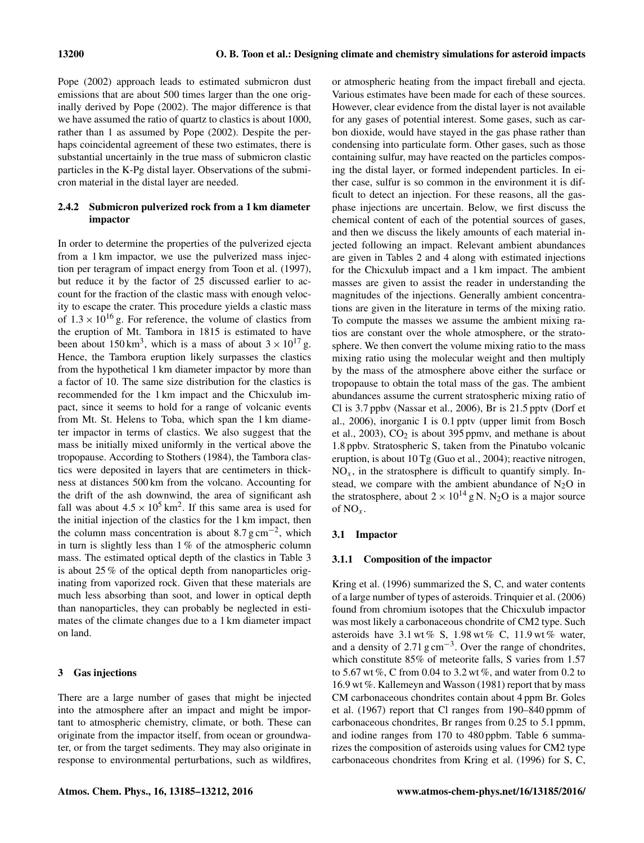Pope (2002) approach leads to estimated submicron dust emissions that are about 500 times larger than the one originally derived by Pope (2002). The major difference is that we have assumed the ratio of quartz to clastics is about 1000, rather than 1 as assumed by Pope (2002). Despite the perhaps coincidental agreement of these two estimates, there is substantial uncertainly in the true mass of submicron clastic particles in the K-Pg distal layer. Observations of the submicron material in the distal layer are needed.

# 2.4.2 Submicron pulverized rock from a 1 km diameter impactor

In order to determine the properties of the pulverized ejecta from a 1 km impactor, we use the pulverized mass injection per teragram of impact energy from Toon et al. (1997), but reduce it by the factor of 25 discussed earlier to account for the fraction of the clastic mass with enough velocity to escape the crater. This procedure yields a clastic mass of  $1.3 \times 10^{16}$  g. For reference, the volume of clastics from the eruption of Mt. Tambora in 1815 is estimated to have been about 150 km<sup>3</sup>, which is a mass of about  $3 \times 10^{17}$  g. Hence, the Tambora eruption likely surpasses the clastics from the hypothetical 1 km diameter impactor by more than a factor of 10. The same size distribution for the clastics is recommended for the 1 km impact and the Chicxulub impact, since it seems to hold for a range of volcanic events from Mt. St. Helens to Toba, which span the 1 km diameter impactor in terms of clastics. We also suggest that the mass be initially mixed uniformly in the vertical above the tropopause. According to Stothers (1984), the Tambora clastics were deposited in layers that are centimeters in thickness at distances 500 km from the volcano. Accounting for the drift of the ash downwind, the area of significant ash fall was about  $4.5 \times 10^5$  km<sup>2</sup>. If this same area is used for the initial injection of the clastics for the 1 km impact, then the column mass concentration is about  $8.7 \text{ g cm}^{-2}$ , which in turn is slightly less than 1 % of the atmospheric column mass. The estimated optical depth of the clastics in Table 3 is about 25 % of the optical depth from nanoparticles originating from vaporized rock. Given that these materials are much less absorbing than soot, and lower in optical depth than nanoparticles, they can probably be neglected in estimates of the climate changes due to a 1 km diameter impact on land.

#### 3 Gas injections

There are a large number of gases that might be injected into the atmosphere after an impact and might be important to atmospheric chemistry, climate, or both. These can originate from the impactor itself, from ocean or groundwater, or from the target sediments. They may also originate in response to environmental perturbations, such as wildfires, or atmospheric heating from the impact fireball and ejecta. Various estimates have been made for each of these sources. However, clear evidence from the distal layer is not available for any gases of potential interest. Some gases, such as carbon dioxide, would have stayed in the gas phase rather than condensing into particulate form. Other gases, such as those containing sulfur, may have reacted on the particles composing the distal layer, or formed independent particles. In either case, sulfur is so common in the environment it is difficult to detect an injection. For these reasons, all the gasphase injections are uncertain. Below, we first discuss the chemical content of each of the potential sources of gases, and then we discuss the likely amounts of each material injected following an impact. Relevant ambient abundances are given in Tables 2 and 4 along with estimated injections for the Chicxulub impact and a 1 km impact. The ambient masses are given to assist the reader in understanding the magnitudes of the injections. Generally ambient concentrations are given in the literature in terms of the mixing ratio. To compute the masses we assume the ambient mixing ratios are constant over the whole atmosphere, or the stratosphere. We then convert the volume mixing ratio to the mass mixing ratio using the molecular weight and then multiply by the mass of the atmosphere above either the surface or tropopause to obtain the total mass of the gas. The ambient abundances assume the current stratospheric mixing ratio of Cl is 3.7 ppbv (Nassar et al., 2006), Br is 21.5 pptv (Dorf et al., 2006), inorganic I is 0.1 pptv (upper limit from Bosch et al., 2003),  $CO<sub>2</sub>$  is about 395 ppmv, and methane is about 1.8 ppbv. Stratospheric S, taken from the Pinatubo volcanic eruption, is about 10 Tg (Guo et al., 2004); reactive nitrogen,  $NO<sub>x</sub>$ , in the stratosphere is difficult to quantify simply. Instead, we compare with the ambient abundance of  $N_2O$  in the stratosphere, about  $2 \times 10^{14}$  g N. N<sub>2</sub>O is a major source of  $NO<sub>x</sub>$ .

#### 3.1 Impactor

## 3.1.1 Composition of the impactor

Kring et al. (1996) summarized the S, C, and water contents of a large number of types of asteroids. Trinquier et al. (2006) found from chromium isotopes that the Chicxulub impactor was most likely a carbonaceous chondrite of CM2 type. Such asteroids have  $3.1$  wt % S,  $1.98$  wt % C,  $11.9$  wt % water, and a density of  $2.71$  g cm<sup>-3</sup>. Over the range of chondrites, which constitute 85% of meteorite falls, S varies from 1.57 to 5.67 wt %, C from 0.04 to 3.2 wt %, and water from 0.2 to 16.9 wt %. Kallemeyn and Wasson (1981) report that by mass CM carbonaceous chondrites contain about 4 ppm Br. Goles et al. (1967) report that Cl ranges from 190–840 ppmm of carbonaceous chondrites, Br ranges from 0.25 to 5.1 ppmm, and iodine ranges from 170 to 480 ppbm. Table 6 summarizes the composition of asteroids using values for CM2 type carbonaceous chondrites from Kring et al. (1996) for S, C,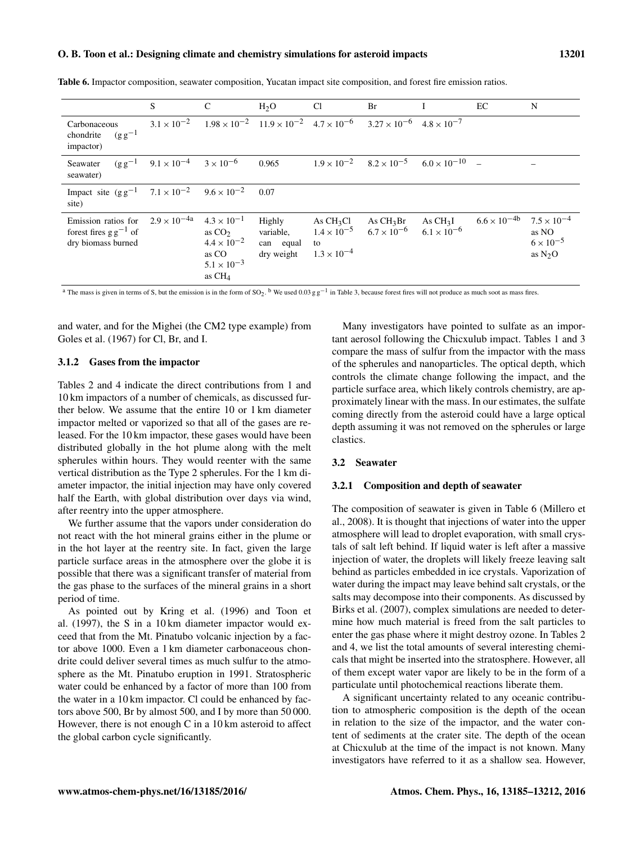#### O. B. Toon et al.: Designing climate and chemistry simulations for asteroid impacts 13201

|                                                                                | S                                       | $\mathcal{C}$                                                                                         | H <sub>2</sub> O                               | C <sub>1</sub>                                                   | Br                                         |                                   | EC                    | N                                                               |
|--------------------------------------------------------------------------------|-----------------------------------------|-------------------------------------------------------------------------------------------------------|------------------------------------------------|------------------------------------------------------------------|--------------------------------------------|-----------------------------------|-----------------------|-----------------------------------------------------------------|
| Carbonaceous<br>$(g g^{-1})$<br>chondrite<br>impactor)                         | $3.1 \times 10^{-2}$                    | $1.98 \times 10^{-2}$ $11.9 \times 10^{-2}$ $4.7 \times 10^{-6}$                                      |                                                |                                                                  | $3.27 \times 10^{-6}$ $4.8 \times 10^{-7}$ |                                   |                       |                                                                 |
| $(g g^{-1})$<br>Seawater<br>seawater)                                          | $9.1 \times 10^{-4}$ $3 \times 10^{-6}$ |                                                                                                       | 0.965                                          | $1.9 \times 10^{-2}$                                             | $8.2 \times 10^{-5}$                       | $6.0 \times 10^{-10}$ -           |                       |                                                                 |
| Impact site $(g g^{-1}$ 7.1 × 10 <sup>-2</sup> 9.6 × 10 <sup>-2</sup><br>site) |                                         |                                                                                                       | 0.07                                           |                                                                  |                                            |                                   |                       |                                                                 |
| Emission ratios for<br>forest fires $g g^{-1}$ of<br>dry biomass burned        | $2.9 \times 10^{-4a}$                   | $4.3 \times 10^{-1}$<br>as $CO2$<br>$4.4 \times 10^{-2}$<br>as CO<br>$5.1 \times 10^{-3}$<br>as $CH4$ | Highly<br>variable,<br>can equal<br>dry weight | As $CH3Cl$<br>$1.4 \times 10^{-5}$<br>to<br>$1.3 \times 10^{-4}$ | As $CH3Br$<br>$6.7 \times 10^{-6}$         | As $CH3I$<br>$6.1 \times 10^{-6}$ | $6.6 \times 10^{-4b}$ | $7.5 \times 10^{-4}$<br>as NO<br>$6 \times 10^{-5}$<br>as $N2O$ |

Table 6. Impactor composition, seawater composition, Yucatan impact site composition, and forest fire emission ratios.

<sup>a</sup> The mass is given in terms of S, but the emission is in the form of SO<sub>2</sub>. <sup>b</sup> We used 0.03 g g<sup>-1</sup> in Table 3, because forest fires will not produce as much soot as mass fires.

and water, and for the Mighei (the CM2 type example) from Goles et al. (1967) for Cl, Br, and I.

## 3.1.2 Gases from the impactor

Tables 2 and 4 indicate the direct contributions from 1 and 10 km impactors of a number of chemicals, as discussed further below. We assume that the entire 10 or 1 km diameter impactor melted or vaporized so that all of the gases are released. For the 10 km impactor, these gases would have been distributed globally in the hot plume along with the melt spherules within hours. They would reenter with the same vertical distribution as the Type 2 spherules. For the 1 km diameter impactor, the initial injection may have only covered half the Earth, with global distribution over days via wind, after reentry into the upper atmosphere.

We further assume that the vapors under consideration do not react with the hot mineral grains either in the plume or in the hot layer at the reentry site. In fact, given the large particle surface areas in the atmosphere over the globe it is possible that there was a significant transfer of material from the gas phase to the surfaces of the mineral grains in a short period of time.

As pointed out by Kring et al. (1996) and Toon et al. (1997), the S in a 10 km diameter impactor would exceed that from the Mt. Pinatubo volcanic injection by a factor above 1000. Even a 1 km diameter carbonaceous chondrite could deliver several times as much sulfur to the atmosphere as the Mt. Pinatubo eruption in 1991. Stratospheric water could be enhanced by a factor of more than 100 from the water in a 10 km impactor. Cl could be enhanced by factors above 500, Br by almost 500, and I by more than 50 000. However, there is not enough C in a 10 km asteroid to affect the global carbon cycle significantly.

Many investigators have pointed to sulfate as an important aerosol following the Chicxulub impact. Tables 1 and 3 compare the mass of sulfur from the impactor with the mass of the spherules and nanoparticles. The optical depth, which controls the climate change following the impact, and the particle surface area, which likely controls chemistry, are approximately linear with the mass. In our estimates, the sulfate coming directly from the asteroid could have a large optical depth assuming it was not removed on the spherules or large clastics.

## 3.2 Seawater

## 3.2.1 Composition and depth of seawater

The composition of seawater is given in Table 6 (Millero et al., 2008). It is thought that injections of water into the upper atmosphere will lead to droplet evaporation, with small crystals of salt left behind. If liquid water is left after a massive injection of water, the droplets will likely freeze leaving salt behind as particles embedded in ice crystals. Vaporization of water during the impact may leave behind salt crystals, or the salts may decompose into their components. As discussed by Birks et al. (2007), complex simulations are needed to determine how much material is freed from the salt particles to enter the gas phase where it might destroy ozone. In Tables 2 and 4, we list the total amounts of several interesting chemicals that might be inserted into the stratosphere. However, all of them except water vapor are likely to be in the form of a particulate until photochemical reactions liberate them.

A significant uncertainty related to any oceanic contribution to atmospheric composition is the depth of the ocean in relation to the size of the impactor, and the water content of sediments at the crater site. The depth of the ocean at Chicxulub at the time of the impact is not known. Many investigators have referred to it as a shallow sea. However,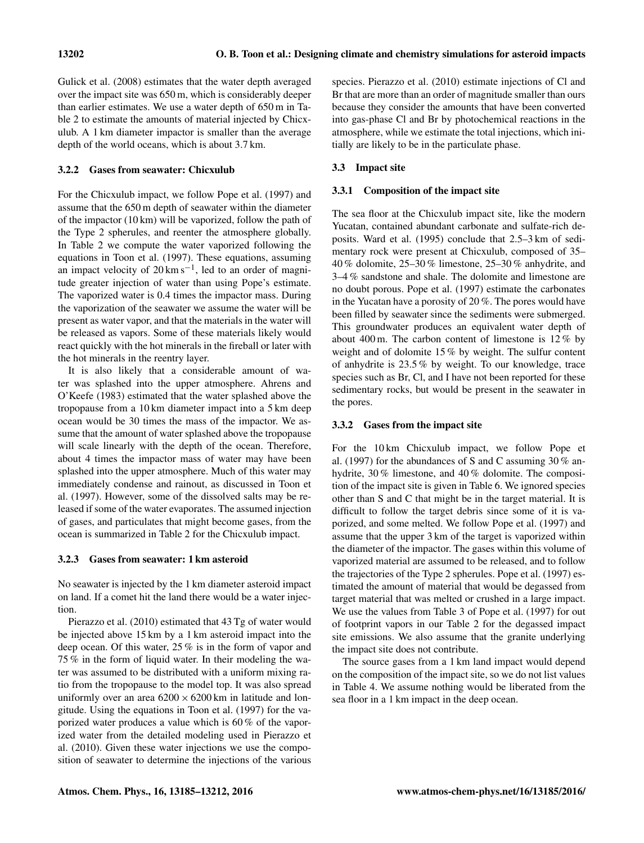Gulick et al. (2008) estimates that the water depth averaged over the impact site was 650 m, which is considerably deeper than earlier estimates. We use a water depth of 650 m in Table 2 to estimate the amounts of material injected by Chicxulub. A 1 km diameter impactor is smaller than the average depth of the world oceans, which is about 3.7 km.

## 3.2.2 Gases from seawater: Chicxulub

For the Chicxulub impact, we follow Pope et al. (1997) and assume that the 650 m depth of seawater within the diameter of the impactor (10 km) will be vaporized, follow the path of the Type 2 spherules, and reenter the atmosphere globally. In Table 2 we compute the water vaporized following the equations in Toon et al. (1997). These equations, assuming an impact velocity of  $20 \text{ km s}^{-1}$ , led to an order of magnitude greater injection of water than using Pope's estimate. The vaporized water is 0.4 times the impactor mass. During the vaporization of the seawater we assume the water will be present as water vapor, and that the materials in the water will be released as vapors. Some of these materials likely would react quickly with the hot minerals in the fireball or later with the hot minerals in the reentry layer.

It is also likely that a considerable amount of water was splashed into the upper atmosphere. Ahrens and O'Keefe (1983) estimated that the water splashed above the tropopause from a 10 km diameter impact into a 5 km deep ocean would be 30 times the mass of the impactor. We assume that the amount of water splashed above the tropopause will scale linearly with the depth of the ocean. Therefore, about 4 times the impactor mass of water may have been splashed into the upper atmosphere. Much of this water may immediately condense and rainout, as discussed in Toon et al. (1997). However, some of the dissolved salts may be released if some of the water evaporates. The assumed injection of gases, and particulates that might become gases, from the ocean is summarized in Table 2 for the Chicxulub impact.

## 3.2.3 Gases from seawater: 1 km asteroid

No seawater is injected by the 1 km diameter asteroid impact on land. If a comet hit the land there would be a water injection.

Pierazzo et al. (2010) estimated that 43 Tg of water would be injected above 15 km by a 1 km asteroid impact into the deep ocean. Of this water, 25 % is in the form of vapor and 75 % in the form of liquid water. In their modeling the water was assumed to be distributed with a uniform mixing ratio from the tropopause to the model top. It was also spread uniformly over an area  $6200 \times 6200$  km in latitude and longitude. Using the equations in Toon et al. (1997) for the vaporized water produces a value which is 60 % of the vaporized water from the detailed modeling used in Pierazzo et al. (2010). Given these water injections we use the composition of seawater to determine the injections of the various species. Pierazzo et al. (2010) estimate injections of Cl and Br that are more than an order of magnitude smaller than ours because they consider the amounts that have been converted into gas-phase Cl and Br by photochemical reactions in the atmosphere, while we estimate the total injections, which initially are likely to be in the particulate phase.

# 3.3 Impact site

# 3.3.1 Composition of the impact site

The sea floor at the Chicxulub impact site, like the modern Yucatan, contained abundant carbonate and sulfate-rich deposits. Ward et al. (1995) conclude that 2.5–3 km of sedimentary rock were present at Chicxulub, composed of 35– 40 % dolomite, 25–30 % limestone, 25–30 % anhydrite, and 3–4 % sandstone and shale. The dolomite and limestone are no doubt porous. Pope et al. (1997) estimate the carbonates in the Yucatan have a porosity of 20 %. The pores would have been filled by seawater since the sediments were submerged. This groundwater produces an equivalent water depth of about 400 m. The carbon content of limestone is 12 % by weight and of dolomite 15 % by weight. The sulfur content of anhydrite is 23.5 % by weight. To our knowledge, trace species such as Br, Cl, and I have not been reported for these sedimentary rocks, but would be present in the seawater in the pores.

# 3.3.2 Gases from the impact site

For the 10 km Chicxulub impact, we follow Pope et al. (1997) for the abundances of S and C assuming 30 % anhydrite, 30 % limestone, and 40 % dolomite. The composition of the impact site is given in Table 6. We ignored species other than S and C that might be in the target material. It is difficult to follow the target debris since some of it is vaporized, and some melted. We follow Pope et al. (1997) and assume that the upper 3 km of the target is vaporized within the diameter of the impactor. The gases within this volume of vaporized material are assumed to be released, and to follow the trajectories of the Type 2 spherules. Pope et al. (1997) estimated the amount of material that would be degassed from target material that was melted or crushed in a large impact. We use the values from Table 3 of Pope et al. (1997) for out of footprint vapors in our Table 2 for the degassed impact site emissions. We also assume that the granite underlying the impact site does not contribute.

The source gases from a 1 km land impact would depend on the composition of the impact site, so we do not list values in Table 4. We assume nothing would be liberated from the sea floor in a 1 km impact in the deep ocean.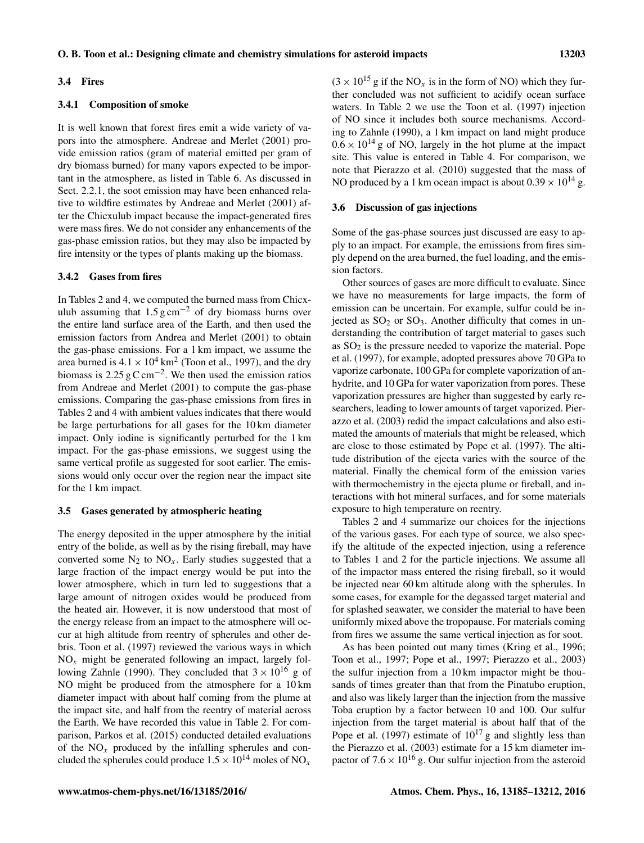#### 3.4 Fires

## 3.4.1 Composition of smoke

It is well known that forest fires emit a wide variety of vapors into the atmosphere. Andreae and Merlet (2001) provide emission ratios (gram of material emitted per gram of dry biomass burned) for many vapors expected to be important in the atmosphere, as listed in Table 6. As discussed in Sect. 2.2.1, the soot emission may have been enhanced relative to wildfire estimates by Andreae and Merlet (2001) after the Chicxulub impact because the impact-generated fires were mass fires. We do not consider any enhancements of the gas-phase emission ratios, but they may also be impacted by fire intensity or the types of plants making up the biomass.

#### 3.4.2 Gases from fires

In Tables 2 and 4, we computed the burned mass from Chicxulub assuming that  $1.5 \text{ g cm}^{-2}$  of dry biomass burns over the entire land surface area of the Earth, and then used the emission factors from Andrea and Merlet (2001) to obtain the gas-phase emissions. For a 1 km impact, we assume the area burned is  $4.1 \times 10^4$  km<sup>2</sup> (Toon et al., 1997), and the dry biomass is 2.25  $\rm g \, C \, \rm cm^{-2}$ . We then used the emission ratios from Andreae and Merlet (2001) to compute the gas-phase emissions. Comparing the gas-phase emissions from fires in Tables 2 and 4 with ambient values indicates that there would be large perturbations for all gases for the 10 km diameter impact. Only iodine is significantly perturbed for the 1 km impact. For the gas-phase emissions, we suggest using the same vertical profile as suggested for soot earlier. The emissions would only occur over the region near the impact site for the 1 km impact.

#### 3.5 Gases generated by atmospheric heating

The energy deposited in the upper atmosphere by the initial entry of the bolide, as well as by the rising fireball, may have converted some  $N_2$  to  $NO_x$ . Early studies suggested that a large fraction of the impact energy would be put into the lower atmosphere, which in turn led to suggestions that a large amount of nitrogen oxides would be produced from the heated air. However, it is now understood that most of the energy release from an impact to the atmosphere will occur at high altitude from reentry of spherules and other debris. Toon et al. (1997) reviewed the various ways in which  $NO<sub>x</sub>$  might be generated following an impact, largely following Zahnle (1990). They concluded that  $3 \times 10^{16}$  g of NO might be produced from the atmosphere for a 10 km diameter impact with about half coming from the plume at the impact site, and half from the reentry of material across the Earth. We have recorded this value in Table 2. For comparison, Parkos et al. (2015) conducted detailed evaluations of the  $NO<sub>x</sub>$  produced by the infalling spherules and concluded the spherules could produce  $1.5 \times 10^{14}$  moles of NO<sub>x</sub>  $(3 \times 10^{15} \text{ g} \text{ if the NO}_x \text{ is in the form of NO})$  which they further concluded was not sufficient to acidify ocean surface waters. In Table 2 we use the Toon et al. (1997) injection of NO since it includes both source mechanisms. According to Zahnle (1990), a 1 km impact on land might produce  $0.6 \times 10^{14}$  g of NO, largely in the hot plume at the impact site. This value is entered in Table 4. For comparison, we note that Pierazzo et al. (2010) suggested that the mass of NO produced by a 1 km ocean impact is about  $0.39 \times 10^{14}$  g.

#### 3.6 Discussion of gas injections

Some of the gas-phase sources just discussed are easy to apply to an impact. For example, the emissions from fires simply depend on the area burned, the fuel loading, and the emission factors.

Other sources of gases are more difficult to evaluate. Since we have no measurements for large impacts, the form of emission can be uncertain. For example, sulfur could be injected as  $SO_2$  or  $SO_3$ . Another difficulty that comes in understanding the contribution of target material to gases such as  $SO<sub>2</sub>$  is the pressure needed to vaporize the material. Pope et al. (1997), for example, adopted pressures above 70 GPa to vaporize carbonate, 100 GPa for complete vaporization of anhydrite, and 10 GPa for water vaporization from pores. These vaporization pressures are higher than suggested by early researchers, leading to lower amounts of target vaporized. Pierazzo et al. (2003) redid the impact calculations and also estimated the amounts of materials that might be released, which are close to those estimated by Pope et al. (1997). The altitude distribution of the ejecta varies with the source of the material. Finally the chemical form of the emission varies with thermochemistry in the ejecta plume or fireball, and interactions with hot mineral surfaces, and for some materials exposure to high temperature on reentry.

Tables 2 and 4 summarize our choices for the injections of the various gases. For each type of source, we also specify the altitude of the expected injection, using a reference to Tables 1 and 2 for the particle injections. We assume all of the impactor mass entered the rising fireball, so it would be injected near 60 km altitude along with the spherules. In some cases, for example for the degassed target material and for splashed seawater, we consider the material to have been uniformly mixed above the tropopause. For materials coming from fires we assume the same vertical injection as for soot.

As has been pointed out many times (Kring et al., 1996; Toon et al., 1997; Pope et al., 1997; Pierazzo et al., 2003) the sulfur injection from a 10 km impactor might be thousands of times greater than that from the Pinatubo eruption, and also was likely larger than the injection from the massive Toba eruption by a factor between 10 and 100. Our sulfur injection from the target material is about half that of the Pope et al. (1997) estimate of  $10^{17}$  g and slightly less than the Pierazzo et al. (2003) estimate for a 15 km diameter impactor of 7.6  $\times$  10<sup>16</sup> g. Our sulfur injection from the asteroid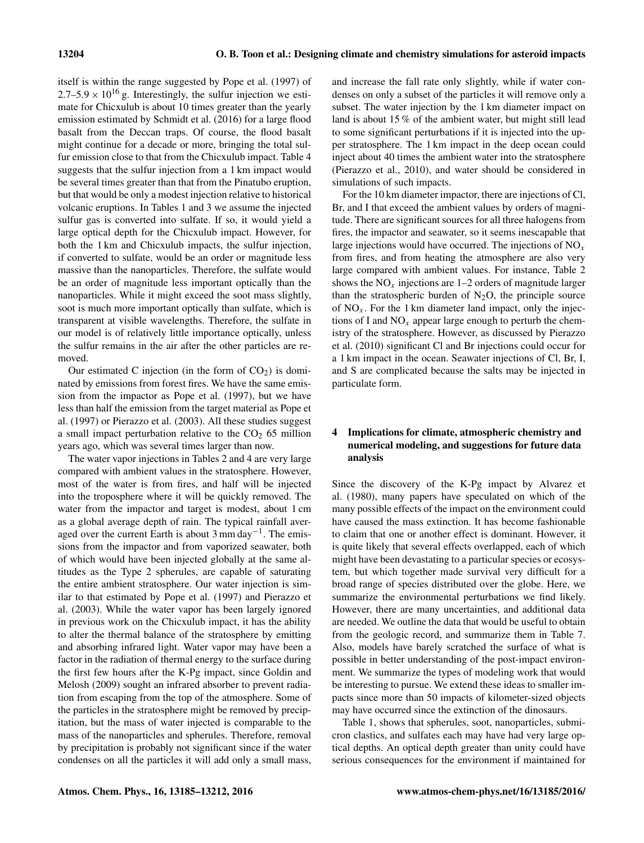itself is within the range suggested by Pope et al. (1997) of  $2.7-5.9 \times 10^{16}$  g. Interestingly, the sulfur injection we estimate for Chicxulub is about 10 times greater than the yearly emission estimated by Schmidt et al. (2016) for a large flood basalt from the Deccan traps. Of course, the flood basalt might continue for a decade or more, bringing the total sulfur emission close to that from the Chicxulub impact. Table 4 suggests that the sulfur injection from a 1 km impact would be several times greater than that from the Pinatubo eruption, but that would be only a modest injection relative to historical volcanic eruptions. In Tables 1 and 3 we assume the injected sulfur gas is converted into sulfate. If so, it would yield a large optical depth for the Chicxulub impact. However, for both the 1 km and Chicxulub impacts, the sulfur injection, if converted to sulfate, would be an order or magnitude less massive than the nanoparticles. Therefore, the sulfate would be an order of magnitude less important optically than the nanoparticles. While it might exceed the soot mass slightly, soot is much more important optically than sulfate, which is transparent at visible wavelengths. Therefore, the sulfate in our model is of relatively little importance optically, unless the sulfur remains in the air after the other particles are removed.

Our estimated C injection (in the form of  $CO<sub>2</sub>$ ) is dominated by emissions from forest fires. We have the same emission from the impactor as Pope et al. (1997), but we have less than half the emission from the target material as Pope et al. (1997) or Pierazzo et al. (2003). All these studies suggest a small impact perturbation relative to the  $CO<sub>2</sub> 65$  million years ago, which was several times larger than now.

The water vapor injections in Tables 2 and 4 are very large compared with ambient values in the stratosphere. However, most of the water is from fires, and half will be injected into the troposphere where it will be quickly removed. The water from the impactor and target is modest, about 1 cm as a global average depth of rain. The typical rainfall averaged over the current Earth is about 3 mm day−<sup>1</sup> . The emissions from the impactor and from vaporized seawater, both of which would have been injected globally at the same altitudes as the Type 2 spherules, are capable of saturating the entire ambient stratosphere. Our water injection is similar to that estimated by Pope et al. (1997) and Pierazzo et al. (2003). While the water vapor has been largely ignored in previous work on the Chicxulub impact, it has the ability to alter the thermal balance of the stratosphere by emitting and absorbing infrared light. Water vapor may have been a factor in the radiation of thermal energy to the surface during the first few hours after the K-Pg impact, since Goldin and Melosh (2009) sought an infrared absorber to prevent radiation from escaping from the top of the atmosphere. Some of the particles in the stratosphere might be removed by precipitation, but the mass of water injected is comparable to the mass of the nanoparticles and spherules. Therefore, removal by precipitation is probably not significant since if the water condenses on all the particles it will add only a small mass, and increase the fall rate only slightly, while if water condenses on only a subset of the particles it will remove only a subset. The water injection by the 1 km diameter impact on land is about 15 % of the ambient water, but might still lead to some significant perturbations if it is injected into the upper stratosphere. The 1 km impact in the deep ocean could inject about 40 times the ambient water into the stratosphere (Pierazzo et al., 2010), and water should be considered in simulations of such impacts.

For the 10 km diameter impactor, there are injections of Cl, Br, and I that exceed the ambient values by orders of magnitude. There are significant sources for all three halogens from fires, the impactor and seawater, so it seems inescapable that large injections would have occurred. The injections of  $NO_x$ from fires, and from heating the atmosphere are also very large compared with ambient values. For instance, Table 2 shows the  $NO<sub>x</sub>$  injections are 1–2 orders of magnitude larger than the stratospheric burden of  $N_2O$ , the principle source of  $NO<sub>x</sub>$ . For the 1 km diameter land impact, only the injections of I and  $NO<sub>x</sub>$  appear large enough to perturb the chemistry of the stratosphere. However, as discussed by Pierazzo et al. (2010) significant Cl and Br injections could occur for a 1 km impact in the ocean. Seawater injections of Cl, Br, I, and S are complicated because the salts may be injected in particulate form.

# 4 Implications for climate, atmospheric chemistry and numerical modeling, and suggestions for future data analysis

Since the discovery of the K-Pg impact by Alvarez et al. (1980), many papers have speculated on which of the many possible effects of the impact on the environment could have caused the mass extinction. It has become fashionable to claim that one or another effect is dominant. However, it is quite likely that several effects overlapped, each of which might have been devastating to a particular species or ecosystem, but which together made survival very difficult for a broad range of species distributed over the globe. Here, we summarize the environmental perturbations we find likely. However, there are many uncertainties, and additional data are needed. We outline the data that would be useful to obtain from the geologic record, and summarize them in Table 7. Also, models have barely scratched the surface of what is possible in better understanding of the post-impact environment. We summarize the types of modeling work that would be interesting to pursue. We extend these ideas to smaller impacts since more than 50 impacts of kilometer-sized objects may have occurred since the extinction of the dinosaurs.

Table 1, shows that spherules, soot, nanoparticles, submicron clastics, and sulfates each may have had very large optical depths. An optical depth greater than unity could have serious consequences for the environment if maintained for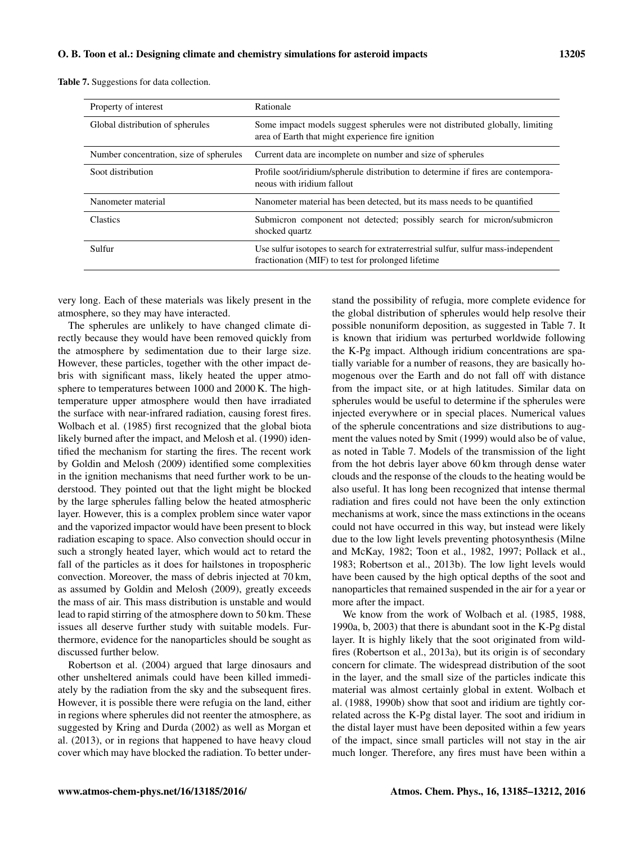|  | <b>Table 7.</b> Suggestions for data collection. |  |  |
|--|--------------------------------------------------|--|--|
|--|--------------------------------------------------|--|--|

| Property of interest                    | Rationale                                                                                                                                |
|-----------------------------------------|------------------------------------------------------------------------------------------------------------------------------------------|
| Global distribution of spherules        | Some impact models suggest spherules were not distributed globally, limiting<br>area of Earth that might experience fire ignition        |
| Number concentration, size of spherules | Current data are incomplete on number and size of spherules                                                                              |
| Soot distribution                       | Profile soot/iridium/spherule distribution to determine if fires are contempora-<br>neous with iridium fallout                           |
| Nanometer material                      | Nanometer material has been detected, but its mass needs to be quantified                                                                |
| <b>Clastics</b>                         | Submicron component not detected; possibly search for micron/submicron<br>shocked quartz                                                 |
| Sulfur                                  | Use sulfur isotopes to search for extraterrestrial sulfur, sulfur mass-independent<br>fractionation (MIF) to test for prolonged lifetime |

very long. Each of these materials was likely present in the atmosphere, so they may have interacted.

The spherules are unlikely to have changed climate directly because they would have been removed quickly from the atmosphere by sedimentation due to their large size. However, these particles, together with the other impact debris with significant mass, likely heated the upper atmosphere to temperatures between 1000 and 2000 K. The hightemperature upper atmosphere would then have irradiated the surface with near-infrared radiation, causing forest fires. Wolbach et al. (1985) first recognized that the global biota likely burned after the impact, and Melosh et al. (1990) identified the mechanism for starting the fires. The recent work by Goldin and Melosh (2009) identified some complexities in the ignition mechanisms that need further work to be understood. They pointed out that the light might be blocked by the large spherules falling below the heated atmospheric layer. However, this is a complex problem since water vapor and the vaporized impactor would have been present to block radiation escaping to space. Also convection should occur in such a strongly heated layer, which would act to retard the fall of the particles as it does for hailstones in tropospheric convection. Moreover, the mass of debris injected at 70 km, as assumed by Goldin and Melosh (2009), greatly exceeds the mass of air. This mass distribution is unstable and would lead to rapid stirring of the atmosphere down to 50 km. These issues all deserve further study with suitable models. Furthermore, evidence for the nanoparticles should be sought as discussed further below.

Robertson et al. (2004) argued that large dinosaurs and other unsheltered animals could have been killed immediately by the radiation from the sky and the subsequent fires. However, it is possible there were refugia on the land, either in regions where spherules did not reenter the atmosphere, as suggested by Kring and Durda (2002) as well as Morgan et al. (2013), or in regions that happened to have heavy cloud cover which may have blocked the radiation. To better understand the possibility of refugia, more complete evidence for the global distribution of spherules would help resolve their possible nonuniform deposition, as suggested in Table 7. It is known that iridium was perturbed worldwide following the K-Pg impact. Although iridium concentrations are spatially variable for a number of reasons, they are basically homogenous over the Earth and do not fall off with distance from the impact site, or at high latitudes. Similar data on spherules would be useful to determine if the spherules were injected everywhere or in special places. Numerical values of the spherule concentrations and size distributions to augment the values noted by Smit (1999) would also be of value, as noted in Table 7. Models of the transmission of the light from the hot debris layer above 60 km through dense water clouds and the response of the clouds to the heating would be also useful. It has long been recognized that intense thermal radiation and fires could not have been the only extinction mechanisms at work, since the mass extinctions in the oceans could not have occurred in this way, but instead were likely due to the low light levels preventing photosynthesis (Milne and McKay, 1982; Toon et al., 1982, 1997; Pollack et al., 1983; Robertson et al., 2013b). The low light levels would have been caused by the high optical depths of the soot and nanoparticles that remained suspended in the air for a year or more after the impact.

We know from the work of Wolbach et al. (1985, 1988, 1990a, b, 2003) that there is abundant soot in the K-Pg distal layer. It is highly likely that the soot originated from wildfires (Robertson et al., 2013a), but its origin is of secondary concern for climate. The widespread distribution of the soot in the layer, and the small size of the particles indicate this material was almost certainly global in extent. Wolbach et al. (1988, 1990b) show that soot and iridium are tightly correlated across the K-Pg distal layer. The soot and iridium in the distal layer must have been deposited within a few years of the impact, since small particles will not stay in the air much longer. Therefore, any fires must have been within a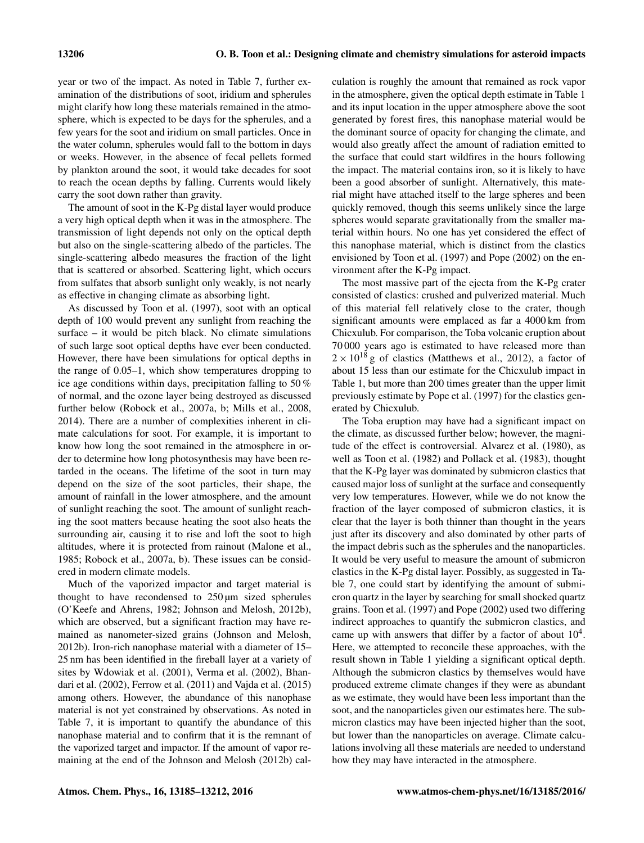year or two of the impact. As noted in Table 7, further examination of the distributions of soot, iridium and spherules might clarify how long these materials remained in the atmosphere, which is expected to be days for the spherules, and a few years for the soot and iridium on small particles. Once in the water column, spherules would fall to the bottom in days or weeks. However, in the absence of fecal pellets formed by plankton around the soot, it would take decades for soot to reach the ocean depths by falling. Currents would likely carry the soot down rather than gravity.

The amount of soot in the K-Pg distal layer would produce a very high optical depth when it was in the atmosphere. The transmission of light depends not only on the optical depth but also on the single-scattering albedo of the particles. The single-scattering albedo measures the fraction of the light that is scattered or absorbed. Scattering light, which occurs from sulfates that absorb sunlight only weakly, is not nearly as effective in changing climate as absorbing light.

As discussed by Toon et al. (1997), soot with an optical depth of 100 would prevent any sunlight from reaching the surface – it would be pitch black. No climate simulations of such large soot optical depths have ever been conducted. However, there have been simulations for optical depths in the range of 0.05–1, which show temperatures dropping to ice age conditions within days, precipitation falling to 50 % of normal, and the ozone layer being destroyed as discussed further below (Robock et al., 2007a, b; Mills et al., 2008, 2014). There are a number of complexities inherent in climate calculations for soot. For example, it is important to know how long the soot remained in the atmosphere in order to determine how long photosynthesis may have been retarded in the oceans. The lifetime of the soot in turn may depend on the size of the soot particles, their shape, the amount of rainfall in the lower atmosphere, and the amount of sunlight reaching the soot. The amount of sunlight reaching the soot matters because heating the soot also heats the surrounding air, causing it to rise and loft the soot to high altitudes, where it is protected from rainout (Malone et al., 1985; Robock et al., 2007a, b). These issues can be considered in modern climate models.

Much of the vaporized impactor and target material is thought to have recondensed to  $250 \mu m$  sized spherules (O'Keefe and Ahrens, 1982; Johnson and Melosh, 2012b), which are observed, but a significant fraction may have remained as nanometer-sized grains (Johnson and Melosh, 2012b). Iron-rich nanophase material with a diameter of 15– 25 nm has been identified in the fireball layer at a variety of sites by Wdowiak et al. (2001), Verma et al. (2002), Bhandari et al. (2002), Ferrow et al. (2011) and Vajda et al. (2015) among others. However, the abundance of this nanophase material is not yet constrained by observations. As noted in Table 7, it is important to quantify the abundance of this nanophase material and to confirm that it is the remnant of the vaporized target and impactor. If the amount of vapor remaining at the end of the Johnson and Melosh (2012b) calculation is roughly the amount that remained as rock vapor in the atmosphere, given the optical depth estimate in Table 1 and its input location in the upper atmosphere above the soot generated by forest fires, this nanophase material would be the dominant source of opacity for changing the climate, and would also greatly affect the amount of radiation emitted to the surface that could start wildfires in the hours following the impact. The material contains iron, so it is likely to have been a good absorber of sunlight. Alternatively, this material might have attached itself to the large spheres and been quickly removed, though this seems unlikely since the large spheres would separate gravitationally from the smaller material within hours. No one has yet considered the effect of this nanophase material, which is distinct from the clastics envisioned by Toon et al. (1997) and Pope (2002) on the environment after the K-Pg impact.

The most massive part of the ejecta from the K-Pg crater consisted of clastics: crushed and pulverized material. Much of this material fell relatively close to the crater, though significant amounts were emplaced as far a 4000 km from Chicxulub. For comparison, the Toba volcanic eruption about 70 000 years ago is estimated to have released more than  $2 \times 10^{18}$  g of clastics (Matthews et al., 2012), a factor of about 15 less than our estimate for the Chicxulub impact in Table 1, but more than 200 times greater than the upper limit previously estimate by Pope et al. (1997) for the clastics generated by Chicxulub.

The Toba eruption may have had a significant impact on the climate, as discussed further below; however, the magnitude of the effect is controversial. Alvarez et al. (1980), as well as Toon et al. (1982) and Pollack et al. (1983), thought that the K-Pg layer was dominated by submicron clastics that caused major loss of sunlight at the surface and consequently very low temperatures. However, while we do not know the fraction of the layer composed of submicron clastics, it is clear that the layer is both thinner than thought in the years just after its discovery and also dominated by other parts of the impact debris such as the spherules and the nanoparticles. It would be very useful to measure the amount of submicron clastics in the K-Pg distal layer. Possibly, as suggested in Table 7, one could start by identifying the amount of submicron quartz in the layer by searching for small shocked quartz grains. Toon et al. (1997) and Pope (2002) used two differing indirect approaches to quantify the submicron clastics, and came up with answers that differ by a factor of about  $10^4$ . Here, we attempted to reconcile these approaches, with the result shown in Table 1 yielding a significant optical depth. Although the submicron clastics by themselves would have produced extreme climate changes if they were as abundant as we estimate, they would have been less important than the soot, and the nanoparticles given our estimates here. The submicron clastics may have been injected higher than the soot, but lower than the nanoparticles on average. Climate calculations involving all these materials are needed to understand how they may have interacted in the atmosphere.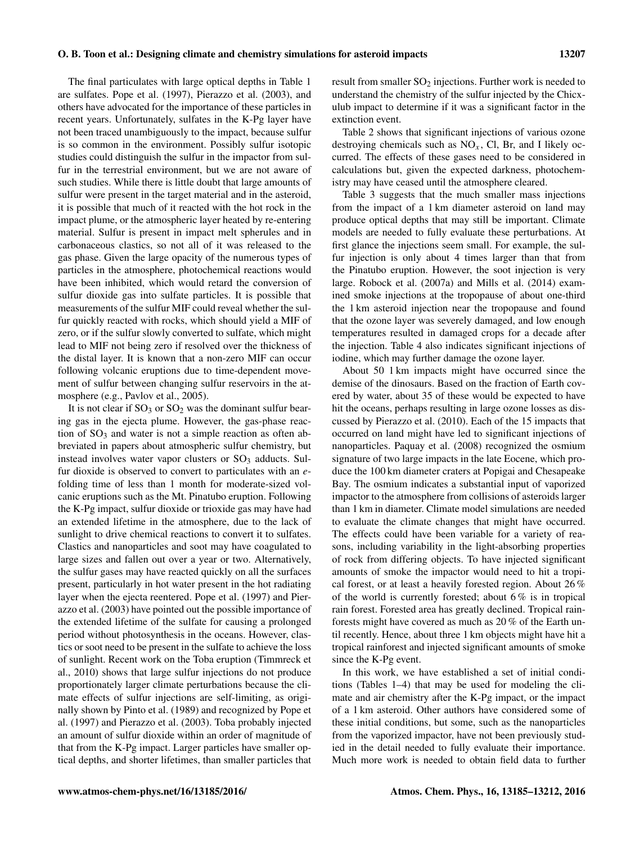The final particulates with large optical depths in Table 1 are sulfates. Pope et al. (1997), Pierazzo et al. (2003), and others have advocated for the importance of these particles in recent years. Unfortunately, sulfates in the K-Pg layer have not been traced unambiguously to the impact, because sulfur is so common in the environment. Possibly sulfur isotopic studies could distinguish the sulfur in the impactor from sulfur in the terrestrial environment, but we are not aware of such studies. While there is little doubt that large amounts of sulfur were present in the target material and in the asteroid, it is possible that much of it reacted with the hot rock in the impact plume, or the atmospheric layer heated by re-entering material. Sulfur is present in impact melt spherules and in carbonaceous clastics, so not all of it was released to the gas phase. Given the large opacity of the numerous types of particles in the atmosphere, photochemical reactions would have been inhibited, which would retard the conversion of sulfur dioxide gas into sulfate particles. It is possible that measurements of the sulfur MIF could reveal whether the sulfur quickly reacted with rocks, which should yield a MIF of zero, or if the sulfur slowly converted to sulfate, which might lead to MIF not being zero if resolved over the thickness of the distal layer. It is known that a non-zero MIF can occur following volcanic eruptions due to time-dependent movement of sulfur between changing sulfur reservoirs in the atmosphere (e.g., Pavlov et al., 2005).

It is not clear if  $SO_3$  or  $SO_2$  was the dominant sulfur bearing gas in the ejecta plume. However, the gas-phase reaction of  $SO_3$  and water is not a simple reaction as often abbreviated in papers about atmospheric sulfur chemistry, but instead involves water vapor clusters or  $SO<sub>3</sub>$  adducts. Sulfur dioxide is observed to convert to particulates with an efolding time of less than 1 month for moderate-sized volcanic eruptions such as the Mt. Pinatubo eruption. Following the K-Pg impact, sulfur dioxide or trioxide gas may have had an extended lifetime in the atmosphere, due to the lack of sunlight to drive chemical reactions to convert it to sulfates. Clastics and nanoparticles and soot may have coagulated to large sizes and fallen out over a year or two. Alternatively, the sulfur gases may have reacted quickly on all the surfaces present, particularly in hot water present in the hot radiating layer when the ejecta reentered. Pope et al. (1997) and Pierazzo et al. (2003) have pointed out the possible importance of the extended lifetime of the sulfate for causing a prolonged period without photosynthesis in the oceans. However, clastics or soot need to be present in the sulfate to achieve the loss of sunlight. Recent work on the Toba eruption (Timmreck et al., 2010) shows that large sulfur injections do not produce proportionately larger climate perturbations because the climate effects of sulfur injections are self-limiting, as originally shown by Pinto et al. (1989) and recognized by Pope et al. (1997) and Pierazzo et al. (2003). Toba probably injected an amount of sulfur dioxide within an order of magnitude of that from the K-Pg impact. Larger particles have smaller optical depths, and shorter lifetimes, than smaller particles that

result from smaller  $SO_2$  injections. Further work is needed to understand the chemistry of the sulfur injected by the Chicxulub impact to determine if it was a significant factor in the extinction event.

Table 2 shows that significant injections of various ozone destroying chemicals such as  $NO<sub>x</sub>$ , Cl, Br, and I likely occurred. The effects of these gases need to be considered in calculations but, given the expected darkness, photochemistry may have ceased until the atmosphere cleared.

Table 3 suggests that the much smaller mass injections from the impact of a 1 km diameter asteroid on land may produce optical depths that may still be important. Climate models are needed to fully evaluate these perturbations. At first glance the injections seem small. For example, the sulfur injection is only about 4 times larger than that from the Pinatubo eruption. However, the soot injection is very large. Robock et al. (2007a) and Mills et al. (2014) examined smoke injections at the tropopause of about one-third the 1 km asteroid injection near the tropopause and found that the ozone layer was severely damaged, and low enough temperatures resulted in damaged crops for a decade after the injection. Table 4 also indicates significant injections of iodine, which may further damage the ozone layer.

About 50 1 km impacts might have occurred since the demise of the dinosaurs. Based on the fraction of Earth covered by water, about 35 of these would be expected to have hit the oceans, perhaps resulting in large ozone losses as discussed by Pierazzo et al. (2010). Each of the 15 impacts that occurred on land might have led to significant injections of nanoparticles. Paquay et al. (2008) recognized the osmium signature of two large impacts in the late Eocene, which produce the 100 km diameter craters at Popigai and Chesapeake Bay. The osmium indicates a substantial input of vaporized impactor to the atmosphere from collisions of asteroids larger than 1 km in diameter. Climate model simulations are needed to evaluate the climate changes that might have occurred. The effects could have been variable for a variety of reasons, including variability in the light-absorbing properties of rock from differing objects. To have injected significant amounts of smoke the impactor would need to hit a tropical forest, or at least a heavily forested region. About 26 % of the world is currently forested; about  $6\%$  is in tropical rain forest. Forested area has greatly declined. Tropical rainforests might have covered as much as 20 % of the Earth until recently. Hence, about three 1 km objects might have hit a tropical rainforest and injected significant amounts of smoke since the K-Pg event.

In this work, we have established a set of initial conditions (Tables 1–4) that may be used for modeling the climate and air chemistry after the K-Pg impact, or the impact of a 1 km asteroid. Other authors have considered some of these initial conditions, but some, such as the nanoparticles from the vaporized impactor, have not been previously studied in the detail needed to fully evaluate their importance. Much more work is needed to obtain field data to further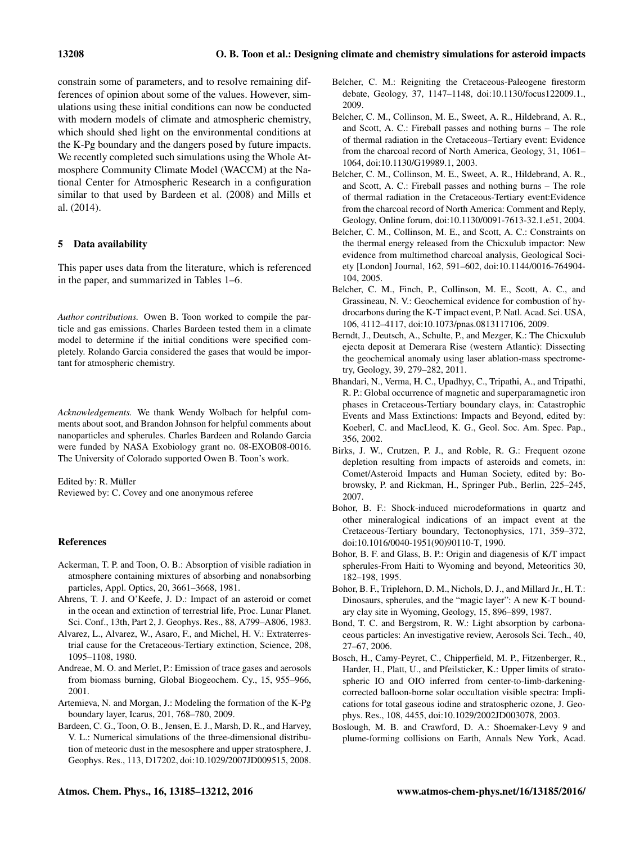constrain some of parameters, and to resolve remaining differences of opinion about some of the values. However, simulations using these initial conditions can now be conducted with modern models of climate and atmospheric chemistry, which should shed light on the environmental conditions at the K-Pg boundary and the dangers posed by future impacts. We recently completed such simulations using the Whole Atmosphere Community Climate Model (WACCM) at the National Center for Atmospheric Research in a configuration similar to that used by Bardeen et al. (2008) and Mills et al. (2014).

## 5 Data availability

This paper uses data from the literature, which is referenced in the paper, and summarized in Tables 1–6.

*Author contributions.* Owen B. Toon worked to compile the particle and gas emissions. Charles Bardeen tested them in a climate model to determine if the initial conditions were specified completely. Rolando Garcia considered the gases that would be important for atmospheric chemistry.

*Acknowledgements.* We thank Wendy Wolbach for helpful comments about soot, and Brandon Johnson for helpful comments about nanoparticles and spherules. Charles Bardeen and Rolando Garcia were funded by NASA Exobiology grant no. 08-EXOB08-0016. The University of Colorado supported Owen B. Toon's work.

Edited by: R. Müller Reviewed by: C. Covey and one anonymous referee

#### References

- Ackerman, T. P. and Toon, O. B.: Absorption of visible radiation in atmosphere containing mixtures of absorbing and nonabsorbing particles, Appl. Optics, 20, 3661–3668, 1981.
- Ahrens, T. J. and O'Keefe, J. D.: Impact of an asteroid or comet in the ocean and extinction of terrestrial life, Proc. Lunar Planet. Sci. Conf., 13th, Part 2, J. Geophys. Res., 88, A799–A806, 1983.
- Alvarez, L., Alvarez, W., Asaro, F., and Michel, H. V.: Extraterrestrial cause for the Cretaceous-Tertiary extinction, Science, 208, 1095–1108, 1980.
- Andreae, M. O. and Merlet, P.: Emission of trace gases and aerosols from biomass burning, Global Biogeochem. Cy., 15, 955–966, 2001.
- Artemieva, N. and Morgan, J.: Modeling the formation of the K-Pg boundary layer, Icarus, 201, 768–780, 2009.
- Bardeen, C. G., Toon, O. B., Jensen, E. J., Marsh, D. R., and Harvey, V. L.: Numerical simulations of the three-dimensional distribution of meteoric dust in the mesosphere and upper stratosphere, J. Geophys. Res., 113, D17202, doi[:10.1029/2007JD009515,](http://dx.doi.org/10.1029/2007JD009515) 2008.
- Belcher, C. M.: Reigniting the Cretaceous-Paleogene firestorm debate, Geology, 37, 1147–1148, doi[:10.1130/focus122009.1.,](http://dx.doi.org/10.1130/focus122009.1.) 2009.
- Belcher, C. M., Collinson, M. E., Sweet, A. R., Hildebrand, A. R., and Scott, A. C.: Fireball passes and nothing burns – The role of thermal radiation in the Cretaceous–Tertiary event: Evidence from the charcoal record of North America, Geology, 31, 1061– 1064, doi[:10.1130/G19989.1,](http://dx.doi.org/10.1130/G19989.1) 2003.
- Belcher, C. M., Collinson, M. E., Sweet, A. R., Hildebrand, A. R., and Scott, A. C.: Fireball passes and nothing burns – The role of thermal radiation in the Cretaceous-Tertiary event:Evidence from the charcoal record of North America: Comment and Reply, Geology, Online forum, doi[:10.1130/0091-7613-32.1.e51,](http://dx.doi.org/10.1130/0091-7613-32.1.e51) 2004.
- Belcher, C. M., Collinson, M. E., and Scott, A. C.: Constraints on the thermal energy released from the Chicxulub impactor: New evidence from multimethod charcoal analysis, Geological Society [London] Journal, 162, 591–602, doi[:10.1144/0016-764904-](http://dx.doi.org/10.1144/0016-764904-104) [104,](http://dx.doi.org/10.1144/0016-764904-104) 2005.
- Belcher, C. M., Finch, P., Collinson, M. E., Scott, A. C., and Grassineau, N. V.: Geochemical evidence for combustion of hydrocarbons during the K-T impact event, P. Natl. Acad. Sci. USA, 106, 4112–4117, doi[:10.1073/pnas.0813117106,](http://dx.doi.org/10.1073/pnas.0813117106) 2009.
- Berndt, J., Deutsch, A., Schulte, P., and Mezger, K.: The Chicxulub ejecta deposit at Demerara Rise (western Atlantic): Dissecting the geochemical anomaly using laser ablation-mass spectrometry, Geology, 39, 279–282, 2011.
- Bhandari, N., Verma, H. C., Upadhyy, C., Tripathi, A., and Tripathi, R. P.: Global occurrence of magnetic and superparamagnetic iron phases in Cretaceous-Tertiary boundary clays, in: Catastrophic Events and Mass Extinctions: Impacts and Beyond, edited by: Koeberl, C. and MacLleod, K. G., Geol. Soc. Am. Spec. Pap., 356, 2002.
- Birks, J. W., Crutzen, P. J., and Roble, R. G.: Frequent ozone depletion resulting from impacts of asteroids and comets, in: Comet/Asteroid Impacts and Human Society, edited by: Bobrowsky, P. and Rickman, H., Springer Pub., Berlin, 225–245, 2007.
- Bohor, B. F.: Shock-induced microdeformations in quartz and other mineralogical indications of an impact event at the Cretaceous-Tertiary boundary, Tectonophysics, 171, 359–372, doi[:10.1016/0040-1951\(90\)90110-T,](http://dx.doi.org/10.1016/0040-1951(90)90110-T) 1990.
- Bohor, B. F. and Glass, B. P.: Origin and diagenesis of K/T impact spherules-From Haiti to Wyoming and beyond, Meteoritics 30, 182–198, 1995.
- Bohor, B. F., Triplehorn, D. M., Nichols, D. J., and Millard Jr., H. T.: Dinosaurs, spherules, and the "magic layer": A new K-T boundary clay site in Wyoming, Geology, 15, 896–899, 1987.
- Bond, T. C. and Bergstrom, R. W.: Light absorption by carbonaceous particles: An investigative review, Aerosols Sci. Tech., 40, 27–67, 2006.
- Bosch, H., Camy-Peyret, C., Chipperfield, M. P., Fitzenberger, R., Harder, H., Platt, U., and Pfeilsticker, K.: Upper limits of stratospheric IO and OIO inferred from center-to-limb-darkeningcorrected balloon-borne solar occultation visible spectra: Implications for total gaseous iodine and stratospheric ozone, J. Geophys. Res., 108, 4455, doi[:10.1029/2002JD003078,](http://dx.doi.org/10.1029/2002JD003078) 2003.
- Boslough, M. B. and Crawford, D. A.: Shoemaker-Levy 9 and plume-forming collisions on Earth, Annals New York, Acad.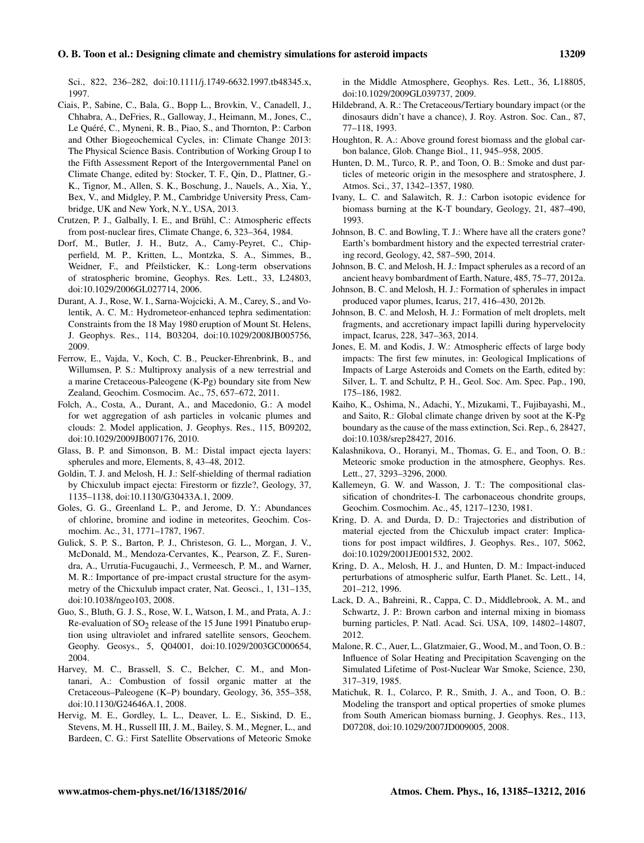Sci., 822, 236–282, doi[:10.1111/j.1749-6632.1997.tb48345.x,](http://dx.doi.org/10.1111/j.1749-6632.1997.tb48345.x) 1997.

- Ciais, P., Sabine, C., Bala, G., Bopp L., Brovkin, V., Canadell, J., Chhabra, A., DeFries, R., Galloway, J., Heimann, M., Jones, C., Le Quéré, C., Myneni, R. B., Piao, S., and Thornton, P.: Carbon and Other Biogeochemical Cycles, in: Climate Change 2013: The Physical Science Basis. Contribution of Working Group I to the Fifth Assessment Report of the Intergovernmental Panel on Climate Change, edited by: Stocker, T. F., Qin, D., Plattner, G.- K., Tignor, M., Allen, S. K., Boschung, J., Nauels, A., Xia, Y., Bex, V., and Midgley, P. M., Cambridge University Press, Cambridge, UK and New York, N.Y., USA, 2013.
- Crutzen, P. J., Galbally, I. E., and Brühl, C.: Atmospheric effects from post-nuclear fires, Climate Change, 6, 323–364, 1984.
- Dorf, M., Butler, J. H., Butz, A., Camy-Peyret, C., Chipperfield, M. P., Kritten, L., Montzka, S. A., Simmes, B., Weidner, F., and Pfeilsticker, K.: Long-term observations of stratospheric bromine, Geophys. Res. Lett., 33, L24803, doi[:10.1029/2006GL027714,](http://dx.doi.org/10.1029/2006GL027714) 2006.
- Durant, A. J., Rose, W. I., Sarna-Wojcicki, A. M., Carey, S., and Volentik, A. C. M.: Hydrometeor-enhanced tephra sedimentation: Constraints from the 18 May 1980 eruption of Mount St. Helens, J. Geophys. Res., 114, B03204, doi[:10.1029/2008JB005756,](http://dx.doi.org/10.1029/2008JB005756) 2009.
- Ferrow, E., Vajda, V., Koch, C. B., Peucker-Ehrenbrink, B., and Willumsen, P. S.: Multiproxy analysis of a new terrestrial and a marine Cretaceous-Paleogene (K-Pg) boundary site from New Zealand, Geochim. Cosmocim. Ac., 75, 657–672, 2011.
- Folch, A., Costa, A., Durant, A., and Macedonio, G.: A model for wet aggregation of ash particles in volcanic plumes and clouds: 2. Model application, J. Geophys. Res., 115, B09202, doi[:10.1029/2009JB007176,](http://dx.doi.org/10.1029/2009JB007176) 2010.
- Glass, B. P. and Simonson, B. M.: Distal impact ejecta layers: spherules and more, Elements, 8, 43–48, 2012.
- Goldin, T. J. and Melosh, H. J.: Self-shielding of thermal radiation by Chicxulub impact ejecta: Firestorm or fizzle?, Geology, 37, 1135–1138, doi[:10.1130/G30433A.1,](http://dx.doi.org/10.1130/G30433A.1) 2009.
- Goles, G. G., Greenland L. P., and Jerome, D. Y.: Abundances of chlorine, bromine and iodine in meteorites, Geochim. Cosmochim. Ac., 31, 1771–1787, 1967.
- Gulick, S. P. S., Barton, P. J., Christeson, G. L., Morgan, J. V., McDonald, M., Mendoza-Cervantes, K., Pearson, Z. F., Surendra, A., Urrutia-Fucugauchi, J., Vermeesch, P. M., and Warner, M. R.: Importance of pre-impact crustal structure for the asymmetry of the Chicxulub impact crater, Nat. Geosci., 1, 131–135, doi[:10.1038/ngeo103,](http://dx.doi.org/10.1038/ngeo103) 2008.
- Guo, S., Bluth, G. J. S., Rose, W. I., Watson, I. M., and Prata, A. J.: Re-evaluation of  $SO_2$  release of the 15 June 1991 Pinatubo eruption using ultraviolet and infrared satellite sensors, Geochem. Geophy. Geosys., 5, Q04001, doi[:10.1029/2003GC000654,](http://dx.doi.org/10.1029/2003GC000654) 2004.
- Harvey, M. C., Brassell, S. C., Belcher, C. M., and Montanari, A.: Combustion of fossil organic matter at the Cretaceous–Paleogene (K–P) boundary, Geology, 36, 355–358, doi[:10.1130/G24646A.1,](http://dx.doi.org/10.1130/G24646A.1) 2008.
- Hervig, M. E., Gordley, L. L., Deaver, L. E., Siskind, D. E., Stevens, M. H., Russell III, J. M., Bailey, S. M., Megner, L., and Bardeen, C. G.: First Satellite Observations of Meteoric Smoke

in the Middle Atmosphere, Geophys. Res. Lett., 36, L18805, doi[:10.1029/2009GL039737,](http://dx.doi.org/10.1029/2009GL039737) 2009.

- Hildebrand, A. R.: The Cretaceous/Tertiary boundary impact (or the dinosaurs didn't have a chance), J. Roy. Astron. Soc. Can., 87, 77–118, 1993.
- Houghton, R. A.: Above ground forest biomass and the global carbon balance, Glob. Change Biol., 11, 945–958, 2005.
- Hunten, D. M., Turco, R. P., and Toon, O. B.: Smoke and dust particles of meteoric origin in the mesosphere and stratosphere, J. Atmos. Sci., 37, 1342–1357, 1980.
- Ivany, L. C. and Salawitch, R. J.: Carbon isotopic evidence for biomass burning at the K-T boundary, Geology, 21, 487–490, 1993.
- Johnson, B. C. and Bowling, T. J.: Where have all the craters gone? Earth's bombardment history and the expected terrestrial cratering record, Geology, 42, 587–590, 2014.
- Johnson, B. C. and Melosh, H. J.: Impact spherules as a record of an ancient heavy bombardment of Earth, Nature, 485, 75–77, 2012a.
- Johnson, B. C. and Melosh, H. J.: Formation of spherules in impact produced vapor plumes, Icarus, 217, 416–430, 2012b.
- Johnson, B. C. and Melosh, H. J.: Formation of melt droplets, melt fragments, and accretionary impact lapilli during hypervelocity impact, Icarus, 228, 347–363, 2014.
- Jones, E. M. and Kodis, J. W.: Atmospheric effects of large body impacts: The first few minutes, in: Geological Implications of Impacts of Large Asteroids and Comets on the Earth, edited by: Silver, L. T. and Schultz, P. H., Geol. Soc. Am. Spec. Pap., 190, 175–186, 1982.
- Kaiho, K., Oshima, N., Adachi, Y., Mizukami, T., Fujibayashi, M., and Saito, R.: Global climate change driven by soot at the K-Pg boundary as the cause of the mass extinction, Sci. Rep., 6, 28427, doi[:10.1038/srep28427,](http://dx.doi.org/10.1038/srep28427) 2016.
- Kalashnikova, O., Horanyi, M., Thomas, G. E., and Toon, O. B.: Meteoric smoke production in the atmosphere, Geophys. Res. Lett., 27, 3293–3296, 2000.
- Kallemeyn, G. W. and Wasson, J. T.: The compositional classification of chondrites-I. The carbonaceous chondrite groups, Geochim. Cosmochim. Ac., 45, 1217–1230, 1981.
- Kring, D. A. and Durda, D. D.: Trajectories and distribution of material ejected from the Chicxulub impact crater: Implications for post impact wildfires, J. Geophys. Res., 107, 5062, doi[:10.1029/2001JE001532,](http://dx.doi.org/10.1029/2001JE001532) 2002.
- Kring, D. A., Melosh, H. J., and Hunten, D. M.: Impact-induced perturbations of atmospheric sulfur, Earth Planet. Sc. Lett., 14, 201–212, 1996.
- Lack, D. A., Bahreini, R., Cappa, C. D., Middlebrook, A. M., and Schwartz, J. P.: Brown carbon and internal mixing in biomass burning particles, P. Natl. Acad. Sci. USA, 109, 14802–14807, 2012.
- Malone, R. C., Auer, L., Glatzmaier, G., Wood, M., and Toon, O. B.: Influence of Solar Heating and Precipitation Scavenging on the Simulated Lifetime of Post-Nuclear War Smoke, Science, 230, 317–319, 1985.
- Matichuk, R. I., Colarco, P. R., Smith, J. A., and Toon, O. B.: Modeling the transport and optical properties of smoke plumes from South American biomass burning, J. Geophys. Res., 113, D07208, doi[:10.1029/2007JD009005,](http://dx.doi.org/10.1029/2007JD009005) 2008.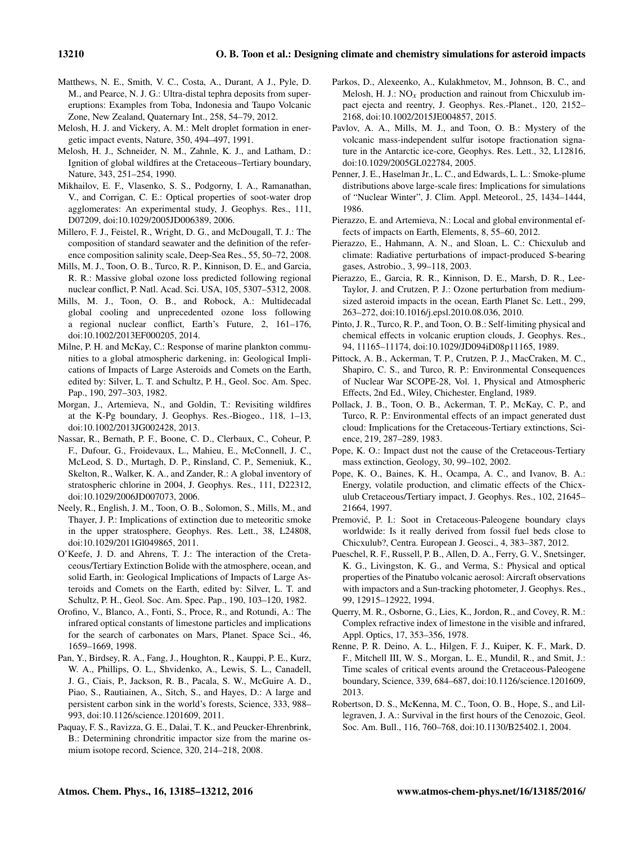- Matthews, N. E., Smith, V. C., Costa, A., Durant, A J., Pyle, D. M., and Pearce, N. J. G.: Ultra-distal tephra deposits from supereruptions: Examples from Toba, Indonesia and Taupo Volcanic Zone, New Zealand, Quaternary Int., 258, 54–79, 2012.
- Melosh, H. J. and Vickery, A. M.: Melt droplet formation in energetic impact events, Nature, 350, 494–497, 1991.
- Melosh, H. J., Schneider, N. M., Zahnle, K. J., and Latham, D.: Ignition of global wildfires at the Cretaceous–Tertiary boundary, Nature, 343, 251–254, 1990.
- Mikhailov, E. F., Vlasenko, S. S., Podgorny, I. A., Ramanathan, V., and Corrigan, C. E.: Optical properties of soot-water drop agglomerates: An experimental study, J. Geophys. Res., 111, D07209, doi[:10.1029/2005JD006389,](http://dx.doi.org/10.1029/2005JD006389) 2006.
- Millero, F. J., Feistel, R., Wright, D. G., and McDougall, T. J.: The composition of standard seawater and the definition of the reference composition salinity scale, Deep-Sea Res., 55, 50–72, 2008.
- Mills, M. J., Toon, O. B., Turco, R. P., Kinnison, D. E., and Garcia, R. R.: Massive global ozone loss predicted following regional nuclear conflict, P. Natl. Acad. Sci. USA, 105, 5307–5312, 2008.
- Mills, M. J., Toon, O. B., and Robock, A.: Multidecadal global cooling and unprecedented ozone loss following a regional nuclear conflict, Earth's Future, 2, 161–176, doi[:10.1002/2013EF000205,](http://dx.doi.org/10.1002/2013EF000205) 2014.
- Milne, P. H. and McKay, C.: Response of marine plankton communities to a global atmospheric darkening, in: Geological Implications of Impacts of Large Asteroids and Comets on the Earth, edited by: Silver, L. T. and Schultz, P. H., Geol. Soc. Am. Spec. Pap., 190, 297–303, 1982.
- Morgan, J., Artemieva, N., and Goldin, T.: Revisiting wildfires at the K-Pg boundary, J. Geophys. Res.-Biogeo., 118, 1–13, doi[:10.1002/2013JG002428,](http://dx.doi.org/10.1002/2013JG002428) 2013.
- Nassar, R., Bernath, P. F., Boone, C. D., Clerbaux, C., Coheur, P. F., Dufour, G., Froidevaux, L., Mahieu, E., McConnell, J. C., McLeod, S. D., Murtagh, D. P., Rinsland, C. P., Semeniuk, K., Skelton, R., Walker, K. A., and Zander, R.: A global inventory of stratospheric chlorine in 2004, J. Geophys. Res., 111, D22312, doi[:10.1029/2006JD007073,](http://dx.doi.org/10.1029/2006JD007073) 2006.
- Neely, R., English, J. M., Toon, O. B., Solomon, S., Mills, M., and Thayer, J. P.: Implications of extinction due to meteoritic smoke in the upper stratosphere, Geophys. Res. Lett., 38, L24808, doi[:10.1029/2011Gl049865,](http://dx.doi.org/10.1029/2011Gl049865) 2011.
- O'Keefe, J. D. and Ahrens, T. J.: The interaction of the Cretaceous/Tertiary Extinction Bolide with the atmosphere, ocean, and solid Earth, in: Geological Implications of Impacts of Large Asteroids and Comets on the Earth, edited by: Silver, L. T. and Schultz, P. H., Geol. Soc. Am. Spec. Pap., 190, 103–120, 1982.
- Orofino, V., Blanco, A., Fonti, S., Proce, R., and Rotundi, A.: The infrared optical constants of limestone particles and implications for the search of carbonates on Mars, Planet. Space Sci., 46, 1659–1669, 1998.
- Pan, Y., Birdsey, R. A., Fang, J., Houghton, R., Kauppi, P. E., Kurz, W. A., Phillips, O. L., Shvidenko, A., Lewis, S. L., Canadell, J. G., Ciais, P., Jackson, R. B., Pacala, S. W., McGuire A. D., Piao, S., Rautiainen, A., Sitch, S., and Hayes, D.: A large and persistent carbon sink in the world's forests, Science, 333, 988– 993, doi[:10.1126/science.1201609,](http://dx.doi.org/10.1126/science.1201609) 2011.
- Paquay, F. S., Ravizza, G. E., Dalai, T. K., and Peucker-Ehrenbrink, B.: Determining chrondritic impactor size from the marine osmium isotope record, Science, 320, 214–218, 2008.
- Parkos, D., Alexeenko, A., Kulakhmetov, M., Johnson, B. C., and Melosh, H. J.:  $NO<sub>x</sub>$  production and rainout from Chicxulub impact ejecta and reentry, J. Geophys. Res.-Planet., 120, 2152– 2168, doi[:10.1002/2015JE004857,](http://dx.doi.org/10.1002/2015JE004857) 2015.
- Pavlov, A. A., Mills, M. J., and Toon, O. B.: Mystery of the volcanic mass-independent sulfur isotope fractionation signature in the Antarctic ice-core, Geophys. Res. Lett., 32, L12816, doi[:10.1029/2005GL022784,](http://dx.doi.org/10.1029/2005GL022784) 2005.
- Penner, J. E., Haselman Jr., L. C., and Edwards, L. L.: Smoke-plume distributions above large-scale fires: Implications for simulations of "Nuclear Winter", J. Clim. Appl. Meteorol., 25, 1434–1444, 1986.
- Pierazzo, E. and Artemieva, N.: Local and global environmental effects of impacts on Earth, Elements, 8, 55–60, 2012.
- Pierazzo, E., Hahmann, A. N., and Sloan, L. C.: Chicxulub and climate: Radiative perturbations of impact-produced S-bearing gases, Astrobio., 3, 99–118, 2003.
- Pierazzo, E., Garcia, R. R., Kinnison, D. E., Marsh, D. R., Lee-Taylor, J. and Crutzen, P. J.: Ozone perturbation from mediumsized asteroid impacts in the ocean, Earth Planet Sc. Lett., 299, 263–272, doi[:10.1016/j.epsl.2010.08.036,](http://dx.doi.org/10.1016/j.epsl.2010.08.036) 2010.
- Pinto, J. R., Turco, R. P., and Toon, O. B.: Self-limiting physical and chemical effects in volcanic eruption clouds, J. Geophys. Res., 94, 11165–11174, doi[:10.1029/JD094iD08p11165,](http://dx.doi.org/10.1029/JD094iD08p11165) 1989.
- Pittock, A. B., Ackerman, T. P., Crutzen, P. J., MacCraken, M. C., Shapiro, C. S., and Turco, R. P.: Environmental Consequences of Nuclear War SCOPE-28, Vol. 1, Physical and Atmospheric Effects, 2nd Ed., Wiley, Chichester, England, 1989.
- Pollack, J. B., Toon, O. B., Ackerman, T. P., McKay, C. P., and Turco, R. P.: Environmental effects of an impact generated dust cloud: Implications for the Cretaceous-Tertiary extinctions, Science, 219, 287–289, 1983.
- Pope, K. O.: Impact dust not the cause of the Cretaceous-Tertiary mass extinction, Geology, 30, 99–102, 2002.
- Pope, K. O., Baines, K. H., Ocampa, A. C., and Ivanov, B. A.: Energy, volatile production, and climatic effects of the Chicxulub Cretaceous/Tertiary impact, J. Geophys. Res., 102, 21645– 21664, 1997.
- Premović, P. I.: Soot in Cretaceous-Paleogene boundary clays worldwide: Is it really derived from fossil fuel beds close to Chicxulub?, Centra. European J. Geosci., 4, 383–387, 2012.
- Pueschel, R. F., Russell, P. B., Allen, D. A., Ferry, G. V., Snetsinger, K. G., Livingston, K. G., and Verma, S.: Physical and optical properties of the Pinatubo volcanic aerosol: Aircraft observations with impactors and a Sun-tracking photometer, J. Geophys. Res., 99, 12915–12922, 1994.
- Querry, M. R., Osborne, G., Lies, K., Jordon, R., and Covey, R. M.: Complex refractive index of limestone in the visible and infrared, Appl. Optics, 17, 353–356, 1978.
- Renne, P. R. Deino, A. L., Hilgen, F. J., Kuiper, K. F., Mark, D. F., Mitchell III, W. S., Morgan, L. E., Mundil, R., and Smit, J.: Time scales of critical events around the Cretaceous-Paleogene boundary, Science, 339, 684–687, doi[:10.1126/science.1201609,](http://dx.doi.org/10.1126/science.1201609) 2013.
- Robertson, D. S., McKenna, M. C., Toon, O. B., Hope, S., and Lillegraven, J. A.: Survival in the first hours of the Cenozoic, Geol. Soc. Am. Bull., 116, 760–768, doi[:10.1130/B25402.1,](http://dx.doi.org/10.1130/B25402.1) 2004.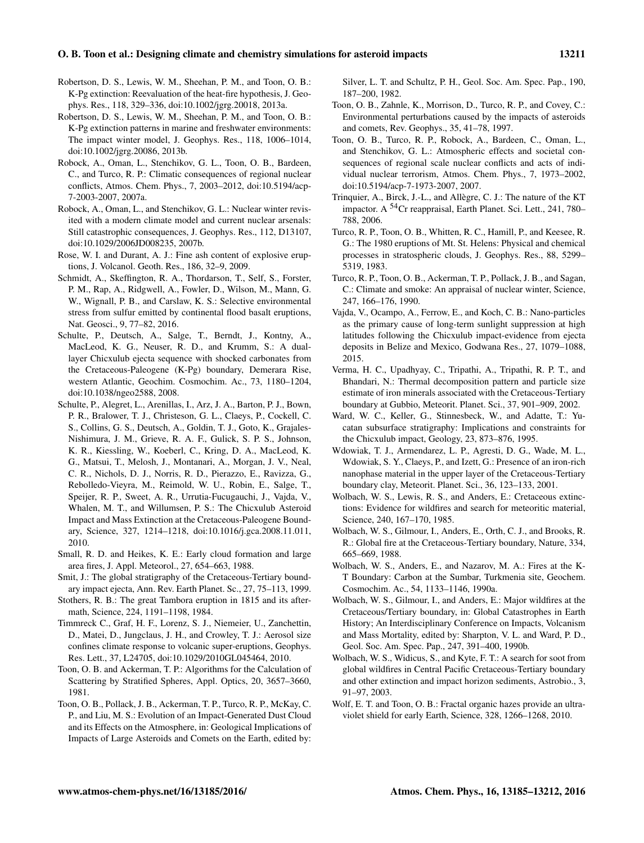#### O. B. Toon et al.: Designing climate and chemistry simulations for asteroid impacts 13211

- Robertson, D. S., Lewis, W. M., Sheehan, P. M., and Toon, O. B.: K-Pg extinction: Reevaluation of the heat-fire hypothesis, J. Geophys. Res., 118, 329–336, doi[:10.1002/jgrg.20018,](http://dx.doi.org/10.1002/jgrg.20018) 2013a.
- Robertson, D. S., Lewis, W. M., Sheehan, P. M., and Toon, O. B.: K-Pg extinction patterns in marine and freshwater environments: The impact winter model, J. Geophys. Res., 118, 1006–1014, doi[:10.1002/jgrg.20086,](http://dx.doi.org/10.1002/jgrg.20086) 2013b.
- Robock, A., Oman, L., Stenchikov, G. L., Toon, O. B., Bardeen, C., and Turco, R. P.: Climatic consequences of regional nuclear conflicts, Atmos. Chem. Phys., 7, 2003–2012, doi[:10.5194/acp-](http://dx.doi.org/10.5194/acp-7-2003-2007)[7-2003-2007,](http://dx.doi.org/10.5194/acp-7-2003-2007) 2007a.
- Robock, A., Oman, L., and Stenchikov, G. L.: Nuclear winter revisited with a modern climate model and current nuclear arsenals: Still catastrophic consequences, J. Geophys. Res., 112, D13107, doi[:10.1029/2006JD008235,](http://dx.doi.org/10.1029/2006JD008235) 2007b.
- Rose, W. I. and Durant, A. J.: Fine ash content of explosive eruptions, J. Volcanol. Geoth. Res., 186, 32–9, 2009.
- Schmidt, A., Skeffington, R. A., Thordarson, T., Self, S., Forster, P. M., Rap, A., Ridgwell, A., Fowler, D., Wilson, M., Mann, G. W., Wignall, P. B., and Carslaw, K. S.: Selective environmental stress from sulfur emitted by continental flood basalt eruptions, Nat. Geosci., 9, 77–82, 2016.
- Schulte, P., Deutsch, A., Salge, T., Berndt, J., Kontny, A., MacLeod, K. G., Neuser, R. D., and Krumm, S.: A duallayer Chicxulub ejecta sequence with shocked carbonates from the Cretaceous-Paleogene (K-Pg) boundary, Demerara Rise, western Atlantic, Geochim. Cosmochim. Ac., 73, 1180–1204, doi[:10.1038/ngeo2588,](http://dx.doi.org/10.1038/ngeo2588) 2008.
- Schulte, P., Alegret, L., Arenillas, I., Arz, J. A., Barton, P. J., Bown, P. R., Bralower, T. J., Christeson, G. L., Claeys, P., Cockell, C. S., Collins, G. S., Deutsch, A., Goldin, T. J., Goto, K., Grajales-Nishimura, J. M., Grieve, R. A. F., Gulick, S. P. S., Johnson, K. R., Kiessling, W., Koeberl, C., Kring, D. A., MacLeod, K. G., Matsui, T., Melosh, J., Montanari, A., Morgan, J. V., Neal, C. R., Nichols, D. J., Norris, R. D., Pierazzo, E., Ravizza, G., Rebolledo-Vieyra, M., Reimold, W. U., Robin, E., Salge, T., Speijer, R. P., Sweet, A. R., Urrutia-Fucugauchi, J., Vajda, V., Whalen, M. T., and Willumsen, P. S.: The Chicxulub Asteroid Impact and Mass Extinction at the Cretaceous-Paleogene Boundary, Science, 327, 1214–1218, doi[:10.1016/j.gca.2008.11.011,](http://dx.doi.org/10.1016/j.gca.2008.11.011) 2010.
- Small, R. D. and Heikes, K. E.: Early cloud formation and large area fires, J. Appl. Meteorol., 27, 654–663, 1988.
- Smit, J.: The global stratigraphy of the Cretaceous-Tertiary boundary impact ejecta, Ann. Rev. Earth Planet. Sc., 27, 75–113, 1999.
- Stothers, R. B.: The great Tambora eruption in 1815 and its aftermath, Science, 224, 1191–1198, 1984.
- Timmreck C., Graf, H. F., Lorenz, S. J., Niemeier, U., Zanchettin, D., Matei, D., Jungclaus, J. H., and Crowley, T. J.: Aerosol size confines climate response to volcanic super-eruptions, Geophys. Res. Lett., 37, L24705, doi[:10.1029/2010GL045464,](http://dx.doi.org/10.1029/2010GL045464) 2010.
- Toon, O. B. and Ackerman, T. P.: Algorithms for the Calculation of Scattering by Stratified Spheres, Appl. Optics, 20, 3657–3660, 1981.
- Toon, O. B., Pollack, J. B., Ackerman, T. P., Turco, R. P., McKay, C. P., and Liu, M. S.: Evolution of an Impact-Generated Dust Cloud and its Effects on the Atmosphere, in: Geological Implications of Impacts of Large Asteroids and Comets on the Earth, edited by:

Silver, L. T. and Schultz, P. H., Geol. Soc. Am. Spec. Pap., 190, 187–200, 1982.

- Toon, O. B., Zahnle, K., Morrison, D., Turco, R. P., and Covey, C.: Environmental perturbations caused by the impacts of asteroids and comets, Rev. Geophys., 35, 41–78, 1997.
- Toon, O. B., Turco, R. P., Robock, A., Bardeen, C., Oman, L., and Stenchikov, G. L.: Atmospheric effects and societal consequences of regional scale nuclear conflicts and acts of individual nuclear terrorism, Atmos. Chem. Phys., 7, 1973–2002, doi[:10.5194/acp-7-1973-2007,](http://dx.doi.org/10.5194/acp-7-1973-2007) 2007.
- Trinquier, A., Birck, J.-L., and Allègre, C. J.: The nature of the KT impactor. A <sup>54</sup>Cr reappraisal, Earth Planet. Sci. Lett., 241, 780– 788, 2006.
- Turco, R. P., Toon, O. B., Whitten, R. C., Hamill, P., and Keesee, R. G.: The 1980 eruptions of Mt. St. Helens: Physical and chemical processes in stratospheric clouds, J. Geophys. Res., 88, 5299– 5319, 1983.
- Turco, R. P., Toon, O. B., Ackerman, T. P., Pollack, J. B., and Sagan, C.: Climate and smoke: An appraisal of nuclear winter, Science, 247, 166–176, 1990.
- Vajda, V., Ocampo, A., Ferrow, E., and Koch, C. B.: Nano-particles as the primary cause of long-term sunlight suppression at high latitudes following the Chicxulub impact-evidence from ejecta deposits in Belize and Mexico, Godwana Res., 27, 1079–1088, 2015.
- Verma, H. C., Upadhyay, C., Tripathi, A., Tripathi, R. P. T., and Bhandari, N.: Thermal decomposition pattern and particle size estimate of iron minerals associated with the Cretaceous-Tertiary boundary at Gubbio, Meteorit. Planet. Sci., 37, 901–909, 2002.
- Ward, W. C., Keller, G., Stinnesbeck, W., and Adatte, T.: Yucatan subsurface stratigraphy: Implications and constraints for the Chicxulub impact, Geology, 23, 873–876, 1995.
- Wdowiak, T. J., Armendarez, L. P., Agresti, D. G., Wade, M. L., Wdowiak, S. Y., Claeys, P., and Izett, G.: Presence of an iron-rich nanophase material in the upper layer of the Cretaceous-Tertiary boundary clay, Meteorit. Planet. Sci., 36, 123–133, 2001.
- Wolbach, W. S., Lewis, R. S., and Anders, E.: Cretaceous extinctions: Evidence for wildfires and search for meteoritic material, Science, 240, 167–170, 1985.
- Wolbach, W. S., Gilmour, I., Anders, E., Orth, C. J., and Brooks, R. R.: Global fire at the Cretaceous-Tertiary boundary, Nature, 334, 665–669, 1988.
- Wolbach, W. S., Anders, E., and Nazarov, M. A.: Fires at the K-T Boundary: Carbon at the Sumbar, Turkmenia site, Geochem. Cosmochim. Ac., 54, 1133–1146, 1990a.
- Wolbach, W. S., Gilmour, I., and Anders, E.: Major wildfires at the Cretaceous/Tertiary boundary, in: Global Catastrophes in Earth History; An Interdisciplinary Conference on Impacts, Volcanism and Mass Mortality, edited by: Sharpton, V. L. and Ward, P. D., Geol. Soc. Am. Spec. Pap., 247, 391–400, 1990b.
- Wolbach, W. S., Widicus, S., and Kyte, F. T.: A search for soot from global wildfires in Central Pacific Cretaceous-Tertiary boundary and other extinction and impact horizon sediments, Astrobio., 3, 91–97, 2003.
- Wolf, E. T. and Toon, O. B.: Fractal organic hazes provide an ultraviolet shield for early Earth, Science, 328, 1266–1268, 2010.